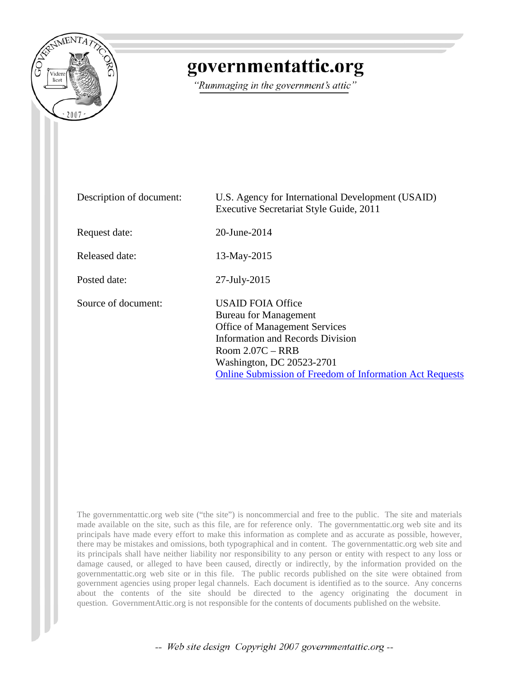

# governmentattic.org

"Rummaging in the government's attic"

| Description of document: | U.S. Agency for International Development (USAID)<br>Executive Secretariat Style Guide, 2011                                                                                                                                                                      |
|--------------------------|-------------------------------------------------------------------------------------------------------------------------------------------------------------------------------------------------------------------------------------------------------------------|
| Request date:            | 20-June-2014                                                                                                                                                                                                                                                      |
| Released date:           | 13-May-2015                                                                                                                                                                                                                                                       |
| Posted date:             | $27$ -July- $2015$                                                                                                                                                                                                                                                |
| Source of document:      | <b>USAID FOIA Office</b><br><b>Bureau for Management</b><br><b>Office of Management Services</b><br><b>Information and Records Division</b><br>Room $2.07C - RRB$<br>Washington, DC 20523-2701<br><b>Online Submission of Freedom of Information Act Requests</b> |

The governmentattic.org web site ("the site") is noncommercial and free to the public. The site and materials made available on the site, such as this file, are for reference only. The governmentattic.org web site and its principals have made every effort to make this information as complete and as accurate as possible, however, there may be mistakes and omissions, both typographical and in content. The governmentattic.org web site and its principals shall have neither liability nor responsibility to any person or entity with respect to any loss or damage caused, or alleged to have been caused, directly or indirectly, by the information provided on the governmentattic.org web site or in this file. The public records published on the site were obtained from government agencies using proper legal channels. Each document is identified as to the source. Any concerns about the contents of the site should be directed to the agency originating the document in question. GovernmentAttic.org is not responsible for the contents of documents published on the website.

-- Web site design Copyright 2007 governmentattic.org --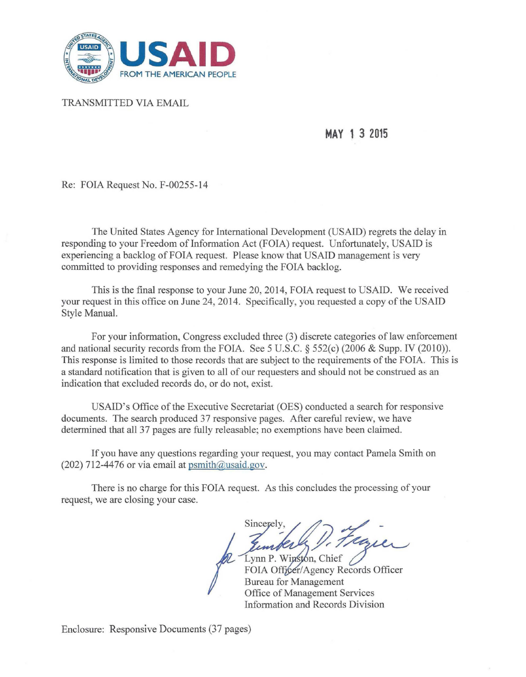

TRANSMITTED VIA EMAIL

**MAY 1 3 2015** 

Re: FOIA Request No. F-00255-14

The United States Agency for International Development (USAID) regrets the delay in responding to your Freedom of Information Act (FOIA) request. Unfortunately, USAID is experiencing a backlog of FOIA request. Please know that USAID management is very committed to providing responses and remedying the FOIA backlog.

This is the final response to your June 20, 2014, FOIA request to USAID. We received your request in this office on June 24, 2014. Specifically, you requested a copy of the USAID Style Manual.

For your information, Congress excluded three (3) discrete categories of law enforcement and national security records from the FOIA. See 5 U.S.C. § 552(c) (2006 & Supp. IV (2010)). This response is limited to those records that are subject to the requirements of the FOIA. This is a standard notification that is given to all of our requesters and should not be construed as an indication that excluded records do, or do not, exist.

USAID's Office of the Executive Secretariat (OES) conducted a search for responsive documents. The search produced 37 responsive pages. After careful review, we have determined that all 37 pages are fully releasable; no exemptions have been claimed.

If you have any questions regarding your request, you may contact Pamela Smith on (202) 712-4476 or via email at  $psmith@u said.gov$ .

There is no charge for this FOIA request. As this concludes the processing of your request, we are closing your case.

Sincerely, Sincerely,<br>Temples D. Flaguer<br>Lynn P. Winston, Chief<br>FOIA Officer/Agency Records Officer

Lynn P. Winston, Chief Bureau for Management Office of Management Services Information and Records Division

Enclosure: Responsive Documents (37 pages)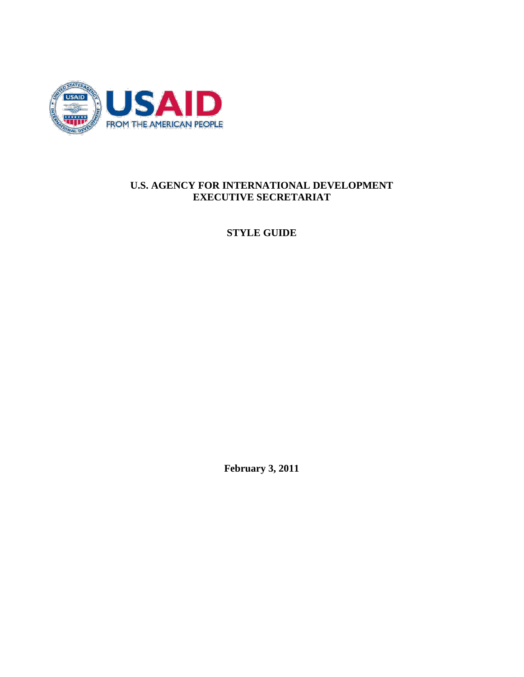

#### **U.S. AGENCY FOR INTERNATIONAL DEVELOPMENT EXECUTIVE SECRETARIAT**

**STYLE GUIDE**

**February 3, 2011**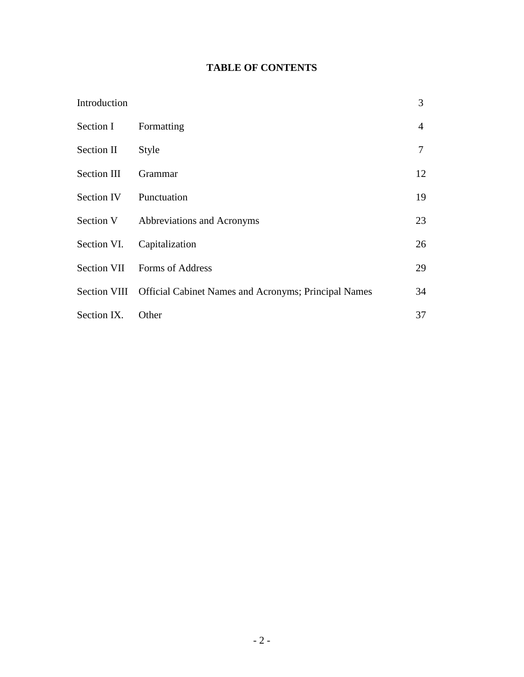# **TABLE OF CONTENTS**

| Introduction |                                                                   | 3              |
|--------------|-------------------------------------------------------------------|----------------|
| Section I    | Formatting                                                        | $\overline{4}$ |
| Section II   | Style                                                             | 7              |
| Section III  | Grammar                                                           | 12             |
| Section IV   | Punctuation                                                       | 19             |
| Section V    | Abbreviations and Acronyms                                        | 23             |
| Section VI.  | Capitalization                                                    | 26             |
| Section VII  | <b>Forms of Address</b>                                           | 29             |
|              | Section VIII Official Cabinet Names and Acronyms; Principal Names | 34             |
| Section IX.  | Other                                                             | 37             |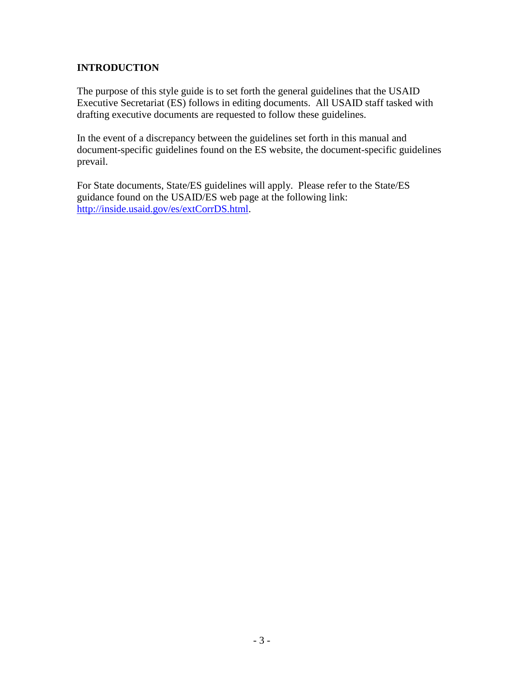### **INTRODUCTION**

The purpose of this style guide is to set forth the general guidelines that the USAID Executive Secretariat (ES) follows in editing documents. All USAID staff tasked with drafting executive documents are requested to follow these guidelines.

In the event of a discrepancy between the guidelines set forth in this manual and document-specific guidelines found on the ES website, the document-specific guidelines prevail.

For State documents, State/ES guidelines will apply. Please refer to the State/ES guidance found on the USAID/ES web page at the following link: http://inside.usaid.gov/es/extCorrDS.html.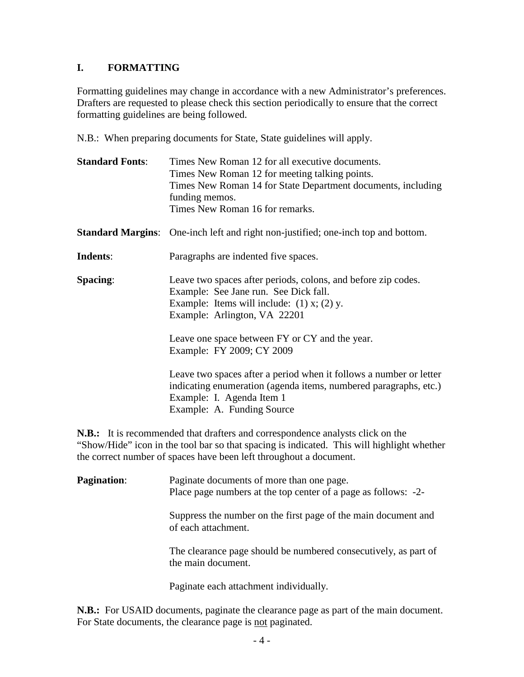#### **I. FORMATTING**

Formatting guidelines may change in accordance with a new Administrator's preferences. Drafters are requested to please check this section periodically to ensure that the correct formatting guidelines are being followed.

N.B.: When preparing documents for State, State guidelines will apply.

| <b>Standard Fonts:</b> | Times New Roman 12 for all executive documents.<br>Times New Roman 12 for meeting talking points.<br>Times New Roman 14 for State Department documents, including<br>funding memos.<br>Times New Roman 16 for remarks. |
|------------------------|------------------------------------------------------------------------------------------------------------------------------------------------------------------------------------------------------------------------|
|                        | <b>Standard Margins:</b> One-inch left and right non-justified; one-inch top and bottom.                                                                                                                               |
| Indents:               | Paragraphs are indented five spaces.                                                                                                                                                                                   |
| <b>Spacing:</b>        | Leave two spaces after periods, colons, and before zip codes.<br>Example: See Jane run. See Dick fall.<br>Example: Items will include: $(1)$ x; $(2)$ y.<br>Example: Arlington, VA 22201                               |
|                        | Leave one space between FY or CY and the year.<br>Example: FY 2009; CY 2009                                                                                                                                            |
|                        | Leave two spaces after a period when it follows a number or letter<br>indicating enumeration (agenda items, numbered paragraphs, etc.)<br>Example: I. Agenda Item 1<br>Example: A. Funding Source                      |

**N.B.:** It is recommended that drafters and correspondence analysts click on the "Show/Hide" icon in the tool bar so that spacing is indicated. This will highlight whether the correct number of spaces have been left throughout a document.

| <b>Pagination:</b> | Paginate documents of more than one page.<br>Place page numbers at the top center of a page as follows: -2- |
|--------------------|-------------------------------------------------------------------------------------------------------------|
|                    | Suppress the number on the first page of the main document and<br>of each attachment.                       |
|                    | The clearance page should be numbered consecutively, as part of<br>the main document.                       |
|                    | Paginate each attachment individually.                                                                      |

**N.B.:** For USAID documents, paginate the clearance page as part of the main document. For State documents, the clearance page is not paginated.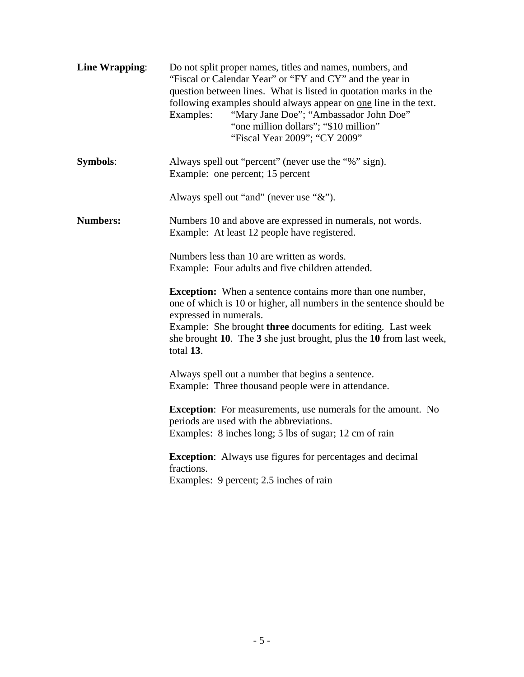| Line Wrapping:  | Do not split proper names, titles and names, numbers, and<br>"Fiscal or Calendar Year" or "FY and CY" and the year in<br>question between lines. What is listed in quotation marks in the<br>following examples should always appear on one line in the text.<br>"Mary Jane Doe"; "Ambassador John Doe"<br>Examples:<br>"one million dollars"; "\$10 million"<br>"Fiscal Year 2009"; "CY 2009" |
|-----------------|------------------------------------------------------------------------------------------------------------------------------------------------------------------------------------------------------------------------------------------------------------------------------------------------------------------------------------------------------------------------------------------------|
| <b>Symbols:</b> | Always spell out "percent" (never use the "%" sign).<br>Example: one percent; 15 percent                                                                                                                                                                                                                                                                                                       |
|                 | Always spell out "and" (never use "&").                                                                                                                                                                                                                                                                                                                                                        |
| <b>Numbers:</b> | Numbers 10 and above are expressed in numerals, not words.<br>Example: At least 12 people have registered.                                                                                                                                                                                                                                                                                     |
|                 | Numbers less than 10 are written as words.<br>Example: Four adults and five children attended.                                                                                                                                                                                                                                                                                                 |
|                 | <b>Exception:</b> When a sentence contains more than one number,<br>one of which is 10 or higher, all numbers in the sentence should be<br>expressed in numerals.<br>Example: She brought three documents for editing. Last week<br>she brought 10. The 3 she just brought, plus the 10 from last week,<br>total 13.                                                                           |
|                 | Always spell out a number that begins a sentence.<br>Example: Three thousand people were in attendance.                                                                                                                                                                                                                                                                                        |
|                 | <b>Exception:</b> For measurements, use numerals for the amount. No<br>periods are used with the abbreviations.<br>Examples: 8 inches long; 5 lbs of sugar; 12 cm of rain                                                                                                                                                                                                                      |
|                 | <b>Exception:</b> Always use figures for percentages and decimal<br>fractions.<br>Examples: 9 percent; 2.5 inches of rain                                                                                                                                                                                                                                                                      |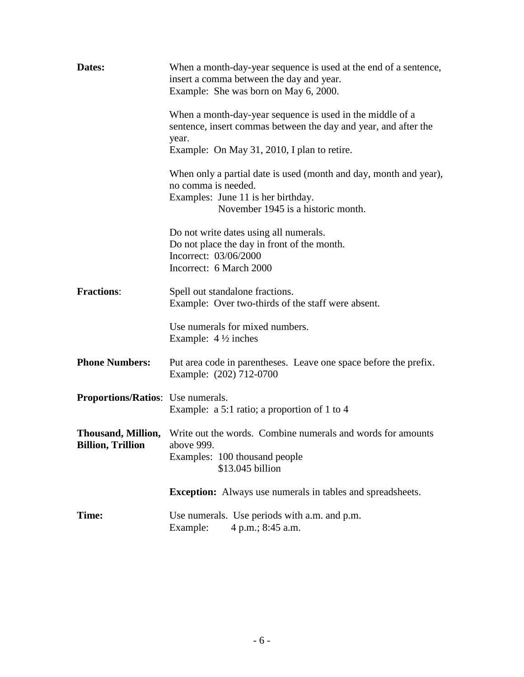| Dates:                                   | When a month-day-year sequence is used at the end of a sentence,<br>insert a comma between the day and year.<br>Example: She was born on May 6, 2000.                                |
|------------------------------------------|--------------------------------------------------------------------------------------------------------------------------------------------------------------------------------------|
|                                          | When a month-day-year sequence is used in the middle of a<br>sentence, insert commas between the day and year, and after the<br>year.<br>Example: On May 31, 2010, I plan to retire. |
|                                          | When only a partial date is used (month and day, month and year),<br>no comma is needed.<br>Examples: June 11 is her birthday.<br>November 1945 is a historic month.                 |
|                                          | Do not write dates using all numerals.<br>Do not place the day in front of the month.<br>Incorrect: 03/06/2000<br>Incorrect: 6 March 2000                                            |
| <b>Fractions:</b>                        | Spell out standalone fractions.<br>Example: Over two-thirds of the staff were absent.                                                                                                |
|                                          | Use numerals for mixed numbers.<br>Example: $4\frac{1}{2}$ inches                                                                                                                    |
| <b>Phone Numbers:</b>                    | Put area code in parentheses. Leave one space before the prefix.<br>Example: (202) 712-0700                                                                                          |
| <b>Proportions/Ratios:</b> Use numerals. | Example: a 5:1 ratio; a proportion of 1 to 4                                                                                                                                         |
| Billion, Trillion above 999.             | <b>Thousand, Million,</b> Write out the words. Combine numerals and words for amounts<br>Examples: 100 thousand people<br>\$13.045 billion                                           |
|                                          | <b>Exception:</b> Always use numerals in tables and spreadsheets.                                                                                                                    |
| Time:                                    | Use numerals. Use periods with a.m. and p.m.<br>Example:<br>4 p.m.; 8:45 a.m.                                                                                                        |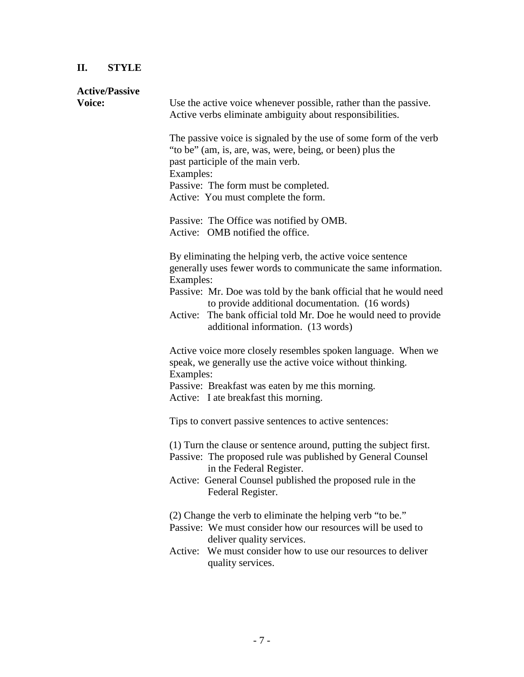# **II. STYLE**

| <b>Active/Passive</b> |                                                                                                                                                                                  |
|-----------------------|----------------------------------------------------------------------------------------------------------------------------------------------------------------------------------|
| Voice:                | Use the active voice whenever possible, rather than the passive.<br>Active verbs eliminate ambiguity about responsibilities.                                                     |
|                       | The passive voice is signaled by the use of some form of the verb<br>"to be" (am, is, are, was, were, being, or been) plus the<br>past participle of the main verb.<br>Examples: |
|                       | Passive: The form must be completed.                                                                                                                                             |
|                       | Active: You must complete the form.                                                                                                                                              |
|                       | Passive: The Office was notified by OMB.<br>Active: OMB notified the office.                                                                                                     |
|                       | By eliminating the helping verb, the active voice sentence<br>generally uses fewer words to communicate the same information.<br>Examples:                                       |
|                       | Passive: Mr. Doe was told by the bank official that he would need<br>to provide additional documentation. (16 words)                                                             |
|                       | Active:<br>The bank official told Mr. Doe he would need to provide<br>additional information. (13 words)                                                                         |
|                       | Active voice more closely resembles spoken language. When we<br>speak, we generally use the active voice without thinking.<br>Examples:                                          |
|                       | Passive: Breakfast was eaten by me this morning.<br>Active: I ate breakfast this morning.                                                                                        |
|                       | Tips to convert passive sentences to active sentences:                                                                                                                           |
|                       | (1) Turn the clause or sentence around, putting the subject first.<br>Passive: The proposed rule was published by General Counsel<br>in the Federal Register.                    |
|                       | Active: General Counsel published the proposed rule in the<br>Federal Register.                                                                                                  |
|                       | (2) Change the verb to eliminate the helping verb "to be."<br>Passive: We must consider how our resources will be used to<br>deliver quality services.                           |
|                       | Active: We must consider how to use our resources to deliver<br>quality services.                                                                                                |
|                       |                                                                                                                                                                                  |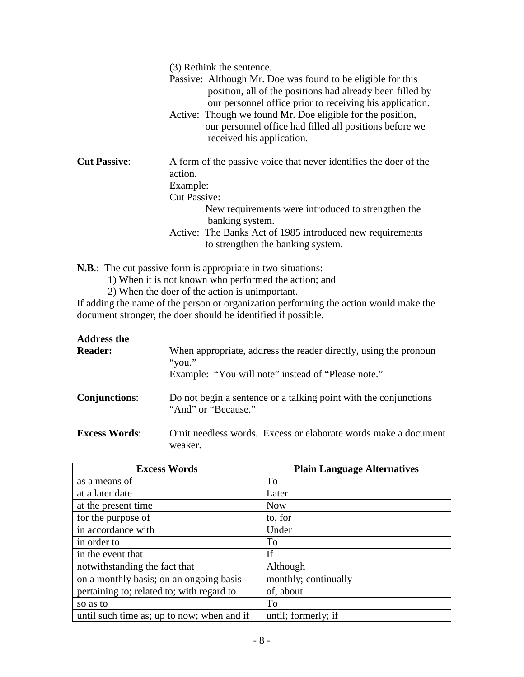|                     | (3) Rethink the sentence.                                                                                                                                                                                                                                                                                                                  |
|---------------------|--------------------------------------------------------------------------------------------------------------------------------------------------------------------------------------------------------------------------------------------------------------------------------------------------------------------------------------------|
|                     | Passive: Although Mr. Doe was found to be eligible for this<br>position, all of the positions had already been filled by<br>our personnel office prior to receiving his application.<br>Active: Though we found Mr. Doe eligible for the position,<br>our personnel office had filled all positions before we<br>received his application. |
| <b>Cut Passive:</b> | A form of the passive voice that never identifies the doer of the<br>action.                                                                                                                                                                                                                                                               |
|                     | Example:                                                                                                                                                                                                                                                                                                                                   |
|                     | <b>Cut Passive:</b>                                                                                                                                                                                                                                                                                                                        |
|                     | New requirements were introduced to strengthen the<br>banking system.                                                                                                                                                                                                                                                                      |
|                     | Active: The Banks Act of 1985 introduced new requirements<br>to strengthen the banking system.                                                                                                                                                                                                                                             |
|                     |                                                                                                                                                                                                                                                                                                                                            |

**N.B**.: The cut passive form is appropriate in two situations:

1) When it is not known who performed the action; and

2) When the doer of the action is unimportant.

If adding the name of the person or organization performing the action would make the document stronger, the doer should be identified if possible.

| <b>Address the</b><br><b>Reader:</b> | When appropriate, address the reader directly, using the pronoun<br>"you."<br>Example: "You will note" instead of "Please note." |
|--------------------------------------|----------------------------------------------------------------------------------------------------------------------------------|
| <b>Conjunctions:</b>                 | Do not begin a sentence or a talking point with the conjunctions<br>"And" or "Because."                                          |
| <b>Excess Words:</b>                 | Omit needless words. Excess or elaborate words make a document<br>weaker.                                                        |

| <b>Excess Words</b>                        | <b>Plain Language Alternatives</b> |
|--------------------------------------------|------------------------------------|
| as a means of                              | To                                 |
| at a later date                            | Later                              |
| at the present time                        | <b>Now</b>                         |
| for the purpose of                         | to, for                            |
| in accordance with                         | Under                              |
| in order to                                | To                                 |
| in the event that                          | If                                 |
| notwithstanding the fact that              | Although                           |
| on a monthly basis; on an ongoing basis    | monthly; continually               |
| pertaining to; related to; with regard to  | of, about                          |
| so as to                                   | To                                 |
| until such time as; up to now; when and if | until; formerly; if                |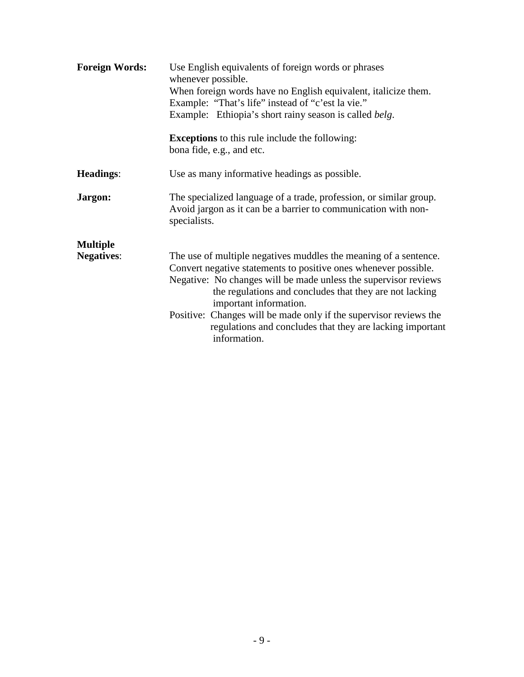| <b>Foreign Words:</b>                | Use English equivalents of foreign words or phrases<br>whenever possible.<br>When foreign words have no English equivalent, italicize them.<br>Example: "That's life" instead of "c'est la vie."<br>Example: Ethiopia's short rainy season is called belg.                                                                                                                                                                                    |
|--------------------------------------|-----------------------------------------------------------------------------------------------------------------------------------------------------------------------------------------------------------------------------------------------------------------------------------------------------------------------------------------------------------------------------------------------------------------------------------------------|
|                                      | <b>Exceptions</b> to this rule include the following:<br>bona fide, e.g., and etc.                                                                                                                                                                                                                                                                                                                                                            |
| <b>Headings:</b>                     | Use as many informative headings as possible.                                                                                                                                                                                                                                                                                                                                                                                                 |
| Jargon:                              | The specialized language of a trade, profession, or similar group.<br>Avoid jargon as it can be a barrier to communication with non-<br>specialists.                                                                                                                                                                                                                                                                                          |
| <b>Multiple</b><br><b>Negatives:</b> | The use of multiple negatives muddles the meaning of a sentence.<br>Convert negative statements to positive ones whenever possible.<br>Negative: No changes will be made unless the supervisor reviews<br>the regulations and concludes that they are not lacking<br>important information.<br>Positive: Changes will be made only if the supervisor reviews the<br>regulations and concludes that they are lacking important<br>information. |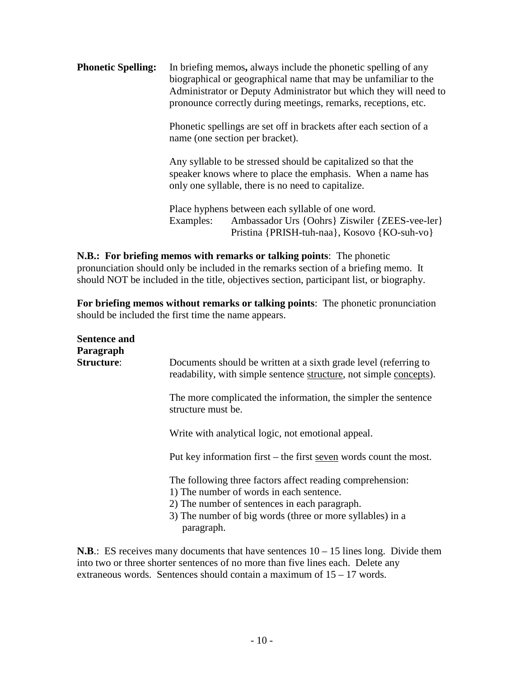**Phonetic Spelling:** In briefing memos, always include the phonetic spelling of any biographical or geographical name that may be unfamiliar to the Administrator or Deputy Administrator but which they will need to pronounce correctly during meetings, remarks, receptions, etc.

> Phonetic spellings are set off in brackets after each section of a name (one section per bracket).

> Any syllable to be stressed should be capitalized so that the speaker knows where to place the emphasis. When a name has only one syllable, there is no need to capitalize.

Place hyphens between each syllable of one word. Examples: Ambassador Urs {Oohrs} Ziswiler {ZEES-vee-ler} Pristina {PRISH-tuh-naa}, Kosovo {KO-suh-vo}

**N.B.: For briefing memos with remarks or talking points**: The phonetic pronunciation should only be included in the remarks section of a briefing memo. It should NOT be included in the title, objectives section, participant list, or biography.

**For briefing memos without remarks or talking points**: The phonetic pronunciation should be included the first time the name appears.

| <b>Sentence and</b><br>Paragraph<br><b>Structure:</b> | Documents should be written at a sixth grade level (referring to<br>readability, with simple sentence structure, not simple concepts).                                                                                            |
|-------------------------------------------------------|-----------------------------------------------------------------------------------------------------------------------------------------------------------------------------------------------------------------------------------|
|                                                       | The more complicated the information, the simpler the sentence<br>structure must be.                                                                                                                                              |
|                                                       | Write with analytical logic, not emotional appeal.                                                                                                                                                                                |
|                                                       | Put key information first $-$ the first seven words count the most.                                                                                                                                                               |
|                                                       | The following three factors affect reading comprehension:<br>1) The number of words in each sentence.<br>2) The number of sentences in each paragraph.<br>3) The number of big words (three or more syllables) in a<br>paragraph. |

**N.B.:** ES receives many documents that have sentences  $10 - 15$  lines long. Divide them into two or three shorter sentences of no more than five lines each. Delete any extraneous words. Sentences should contain a maximum of  $15 - 17$  words.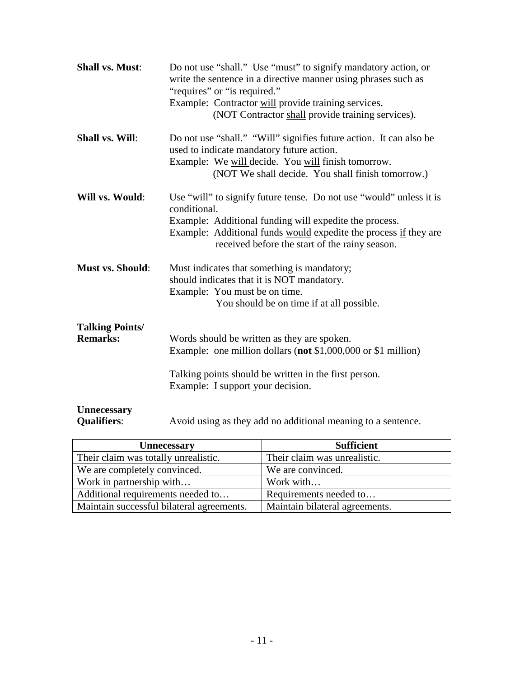| <b>Shall vs. Must:</b>                    | Do not use "shall." Use "must" to signify mandatory action, or<br>write the sentence in a directive manner using phrases such as<br>"requires" or "is required."<br>Example: Contractor will provide training services.<br>(NOT Contractor shall provide training services). |
|-------------------------------------------|------------------------------------------------------------------------------------------------------------------------------------------------------------------------------------------------------------------------------------------------------------------------------|
| <b>Shall vs. Will:</b>                    | Do not use "shall." "Will" signifies future action. It can also be<br>used to indicate mandatory future action.<br>Example: We will decide. You will finish tomorrow.<br>(NOT We shall decide. You shall finish tomorrow.)                                                   |
| Will vs. Would:                           | Use "will" to signify future tense. Do not use "would" unless it is<br>conditional.<br>Example: Additional funding will expedite the process.<br>Example: Additional funds would expedite the process if they are<br>received before the start of the rainy season.          |
| <b>Must vs. Should:</b>                   | Must indicates that something is mandatory;<br>should indicates that it is NOT mandatory.<br>Example: You must be on time.<br>You should be on time if at all possible.                                                                                                      |
| <b>Talking Points/</b><br><b>Remarks:</b> | Words should be written as they are spoken.<br>Example: one million dollars (not \$1,000,000 or \$1 million)<br>Talking points should be written in the first person.                                                                                                        |
| <b>Unnecessary</b><br><b>Qualifiers:</b>  | Example: I support your decision.<br>Avoid using as they add no additional meaning to a sentence.                                                                                                                                                                            |

| <b>Unnecessary</b>                        | <b>Sufficient</b>              |
|-------------------------------------------|--------------------------------|
| Their claim was totally unrealistic.      | Their claim was unrealistic.   |
| We are completely convinced.              | We are convinced.              |
| Work in partnership with                  | Work with                      |
| Additional requirements needed to         | Requirements needed to         |
| Maintain successful bilateral agreements. | Maintain bilateral agreements. |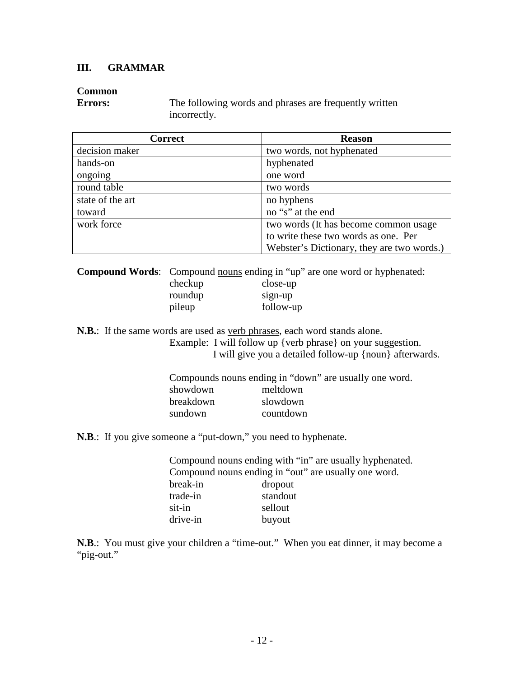#### **III. GRAMMAR**

#### **Common**

**Errors:** The following words and phrases are frequently written incorrectly.

| <b>Correct</b>   | <b>Reason</b>                              |
|------------------|--------------------------------------------|
| decision maker   | two words, not hyphenated                  |
| hands-on         | hyphenated                                 |
| ongoing          | one word                                   |
| round table      | two words                                  |
| state of the art | no hyphens                                 |
| toward           | no "s" at the end                          |
| work force       | two words (It has become common usage      |
|                  | to write these two words as one. Per       |
|                  | Webster's Dictionary, they are two words.) |

**Compound Words**: Compound nouns ending in "up" are one word or hyphenated: checkup close-up

| $\cdots$ | $\cdots$  |
|----------|-----------|
| roundup  | sign-up   |
| pileup   | follow-up |

**N.B.**: If the same words are used as verb phrases, each word stands alone.

Example: I will follow up {verb phrase} on your suggestion. I will give you a detailed follow-up {noun} afterwards.

|           | Compounds nouns ending in "down" are usually one word. |
|-----------|--------------------------------------------------------|
| showdown  | meltdown                                               |
| breakdown | slowdown                                               |
| sundown   | countdown                                              |

**N.B**.: If you give someone a "put-down," you need to hyphenate.

|          | Compound nouns ending with "in" are usually hyphenated. |
|----------|---------------------------------------------------------|
|          | Compound nouns ending in "out" are usually one word.    |
| break-in | dropout                                                 |
| trade-in | standout                                                |
| sit-in   | sellout                                                 |
| drive-in | buyout                                                  |

**N.B**.: You must give your children a "time-out." When you eat dinner, it may become a "pig-out."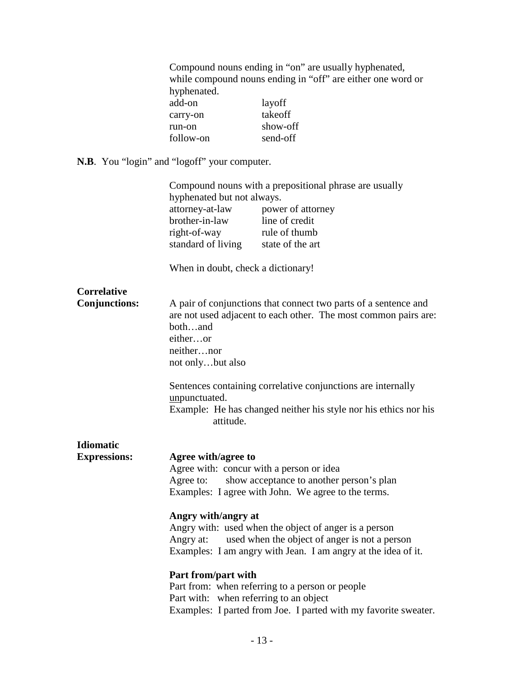Compound nouns ending in "on" are usually hyphenated, while compound nouns ending in "off" are either one word or hyphenated. add-on layoff<br>carry-on takeoff carry-on run-on show-off<br>follow-on send-off follow-on

**N.B**. You "login" and "logoff" your computer.

|                      |                                                       | Compound nouns with a prepositional phrase are usually                                                                                                                  |
|----------------------|-------------------------------------------------------|-------------------------------------------------------------------------------------------------------------------------------------------------------------------------|
|                      | hyphenated but not always.                            |                                                                                                                                                                         |
|                      | attorney-at-law                                       | power of attorney                                                                                                                                                       |
|                      | brother-in-law                                        | line of credit                                                                                                                                                          |
|                      | right-of-way                                          | rule of thumb                                                                                                                                                           |
|                      | standard of living                                    | state of the art                                                                                                                                                        |
|                      | When in doubt, check a dictionary!                    |                                                                                                                                                                         |
| <b>Correlative</b>   |                                                       |                                                                                                                                                                         |
| <b>Conjunctions:</b> | bothand<br>eitheror<br>neithernor<br>not onlybut also | A pair of conjunctions that connect two parts of a sentence and<br>are not used adjacent to each other. The most common pairs are:                                      |
|                      | unpunctuated.<br>attitude.                            | Sentences containing correlative conjunctions are internally<br>Example: He has changed neither his style nor his ethics nor his                                        |
| <b>Idiomatic</b>     |                                                       |                                                                                                                                                                         |
| <b>Expressions:</b>  | Agree with/agree to                                   |                                                                                                                                                                         |
|                      | Agree with: concur with a person or idea              |                                                                                                                                                                         |
|                      | Agree to:                                             | show acceptance to another person's plan                                                                                                                                |
|                      |                                                       | Examples: I agree with John. We agree to the terms.                                                                                                                     |
|                      | Angry with/angry at<br>Angry at:                      | Angry with: used when the object of anger is a person<br>used when the object of anger is not a person<br>Examples: I am angry with Jean. I am angry at the idea of it. |
|                      | Part from/part with                                   |                                                                                                                                                                         |
|                      |                                                       | Part from: when referring to a person or people                                                                                                                         |
|                      | Part with: when referring to an object                |                                                                                                                                                                         |
|                      |                                                       | Examples: I parted from Joe. I parted with my favorite sweater.                                                                                                         |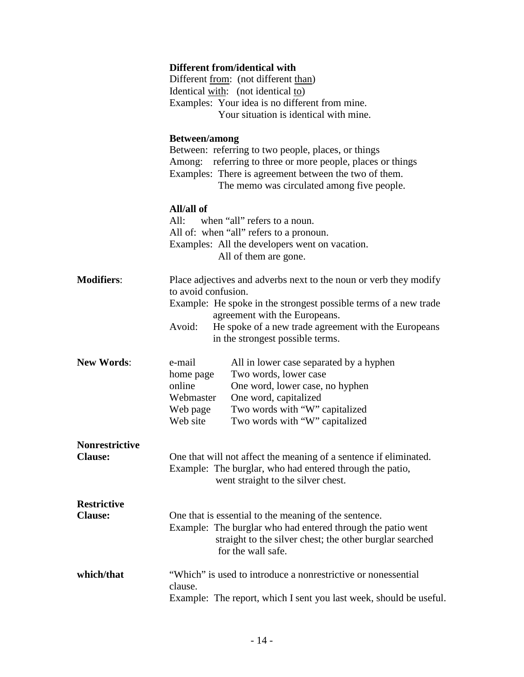|                       | Different from/identical with                                                                     |
|-----------------------|---------------------------------------------------------------------------------------------------|
|                       | Different from: (not different than)                                                              |
|                       | Identical with: (not identical to)                                                                |
|                       | Examples: Your idea is no different from mine.                                                    |
|                       | Your situation is identical with mine.                                                            |
|                       |                                                                                                   |
|                       | <b>Between/among</b>                                                                              |
|                       | Between: referring to two people, places, or things                                               |
|                       | Among: referring to three or more people, places or things                                        |
|                       | Examples: There is agreement between the two of them.                                             |
|                       | The memo was circulated among five people.                                                        |
|                       | All/all of                                                                                        |
|                       | when "all" refers to a noun.<br>All:                                                              |
|                       | All of: when "all" refers to a pronoun.                                                           |
|                       | Examples: All the developers went on vacation.                                                    |
|                       | All of them are gone.                                                                             |
|                       |                                                                                                   |
| <b>Modifiers:</b>     | Place adjectives and adverbs next to the noun or verb they modify                                 |
|                       | to avoid confusion.                                                                               |
|                       | Example: He spoke in the strongest possible terms of a new trade<br>agreement with the Europeans. |
|                       | Avoid:<br>He spoke of a new trade agreement with the Europeans                                    |
|                       | in the strongest possible terms.                                                                  |
|                       |                                                                                                   |
| <b>New Words:</b>     | e-mail<br>All in lower case separated by a hyphen                                                 |
|                       | Two words, lower case<br>home page                                                                |
|                       | online<br>One word, lower case, no hyphen                                                         |
|                       | One word, capitalized<br>Webmaster                                                                |
|                       | Two words with "W" capitalized<br>Web page                                                        |
|                       | Web site<br>Two words with "W" capitalized                                                        |
| <b>Nonrestrictive</b> |                                                                                                   |
| <b>Clause:</b>        | One that will not affect the meaning of a sentence if eliminated.                                 |
|                       | Example: The burglar, who had entered through the patio,                                          |
|                       |                                                                                                   |
|                       | went straight to the silver chest.                                                                |
| <b>Restrictive</b>    |                                                                                                   |
| <b>Clause:</b>        | One that is essential to the meaning of the sentence.                                             |
|                       | Example: The burglar who had entered through the patio went                                       |
|                       | straight to the silver chest; the other burglar searched                                          |
|                       | for the wall safe.                                                                                |
|                       |                                                                                                   |
| which/that            | "Which" is used to introduce a nonrestrictive or nonessential                                     |
|                       | clause.                                                                                           |
|                       | Example: The report, which I sent you last week, should be useful.                                |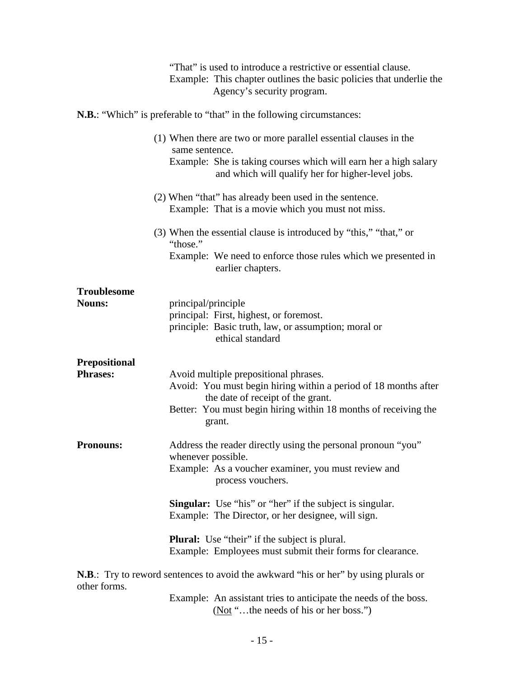|                                         | "That" is used to introduce a restrictive or essential clause.<br>Example: This chapter outlines the basic policies that underlie the<br>Agency's security program.                                                        |
|-----------------------------------------|----------------------------------------------------------------------------------------------------------------------------------------------------------------------------------------------------------------------------|
|                                         | <b>N.B.:</b> "Which" is preferable to "that" in the following circumstances:                                                                                                                                               |
|                                         | (1) When there are two or more parallel essential clauses in the<br>same sentence.<br>Example: She is taking courses which will earn her a high salary<br>and which will qualify her for higher-level jobs.                |
|                                         | (2) When "that" has already been used in the sentence.<br>Example: That is a movie which you must not miss.                                                                                                                |
|                                         | (3) When the essential clause is introduced by "this," "that," or<br>"those."<br>Example: We need to enforce those rules which we presented in<br>earlier chapters.                                                        |
| <b>Troublesome</b><br><b>Nouns:</b>     | principal/principle<br>principal: First, highest, or foremost.<br>principle: Basic truth, law, or assumption; moral or<br>ethical standard                                                                                 |
| <b>Prepositional</b><br><b>Phrases:</b> | Avoid multiple prepositional phrases.<br>Avoid: You must begin hiring within a period of 18 months after<br>the date of receipt of the grant.<br>Better: You must begin hiring within 18 months of receiving the<br>grant. |
| <b>Pronouns:</b>                        | Address the reader directly using the personal pronoun "you"<br>whenever possible.<br>Example: As a voucher examiner, you must review and<br>process vouchers.                                                             |
|                                         | <b>Singular:</b> Use "his" or "her" if the subject is singular.<br>Example: The Director, or her designee, will sign.                                                                                                      |
|                                         | <b>Plural:</b> Use "their" if the subject is plural.<br>Example: Employees must submit their forms for clearance.                                                                                                          |
| other forms.                            | <b>N.B.:</b> Try to reword sentences to avoid the awkward "his or her" by using plurals or                                                                                                                                 |

Example: An assistant tries to anticipate the needs of the boss. (Not "...the needs of his or her boss.")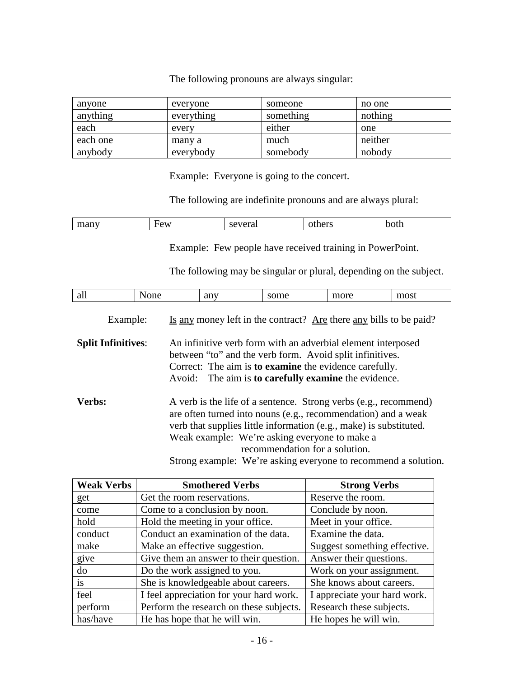The following pronouns are always singular:

| anyone   | everyone   | someone   | no one  |
|----------|------------|-----------|---------|
| anything | everything | something | nothing |
| each     | every      | either    | one     |
| each one | many a     | much      | neither |
| anybody  | everybody  | somebody  | nobody  |

Example: Everyone is going to the concert.

The following are indefinite pronouns and are always plural:

| 10.77<br>$  -$<br>$\Delta r$<br>$\sim$ $\sim$ $\sim$ $\sim$<br>.<br>dolfi<br>лаг<br>пнану<br>ov<br>ມບມ<br>$\ddotsc$<br>$\sim$<br>____ |
|---------------------------------------------------------------------------------------------------------------------------------------|
|---------------------------------------------------------------------------------------------------------------------------------------|

Example: Few people have received training in PowerPoint.

The following may be singular or plural, depending on the subject.

| all<br><br>all<br>ט ש<br><b>UILL</b><br>,,,,,,,<br>$- - - - -$<br>$- -$<br>$- - - - - -$ |
|------------------------------------------------------------------------------------------|
|------------------------------------------------------------------------------------------|

Example: Is any money left in the contract? Are there any bills to be paid?

**Split Infinitives**: An infinitive verb form with an adverbial element interposed between "to" and the verb form. Avoid split infinitives. Correct: The aim is **to examine** the evidence carefully. Avoid: The aim is **to carefully examine** the evidence.

**Verbs:** A verb is the life of a sentence. Strong verbs (e.g., recommend) are often turned into nouns (e.g., recommendation) and a weak verb that supplies little information (e.g., make) is substituted. Weak example: We're asking everyone to make a recommendation for a solution. Strong example: We're asking everyone to recommend a solution.

| <b>Weak Verbs</b> | <b>Smothered Verbs</b>                  | <b>Strong Verbs</b>          |
|-------------------|-----------------------------------------|------------------------------|
| get               | Get the room reservations.              | Reserve the room.            |
| come              | Come to a conclusion by noon.           | Conclude by noon.            |
| hold              | Hold the meeting in your office.        | Meet in your office.         |
| conduct           | Conduct an examination of the data.     | Examine the data.            |
| make              | Make an effective suggestion.           | Suggest something effective. |
| give              | Give them an answer to their question.  | Answer their questions.      |
| do                | Do the work assigned to you.            | Work on your assignment.     |
| is                | She is knowledgeable about careers.     | She knows about careers.     |
| feel              | I feel appreciation for your hard work. | I appreciate your hard work. |
| perform           | Perform the research on these subjects. | Research these subjects.     |
| has/have          | He has hope that he will win.           | He hopes he will win.        |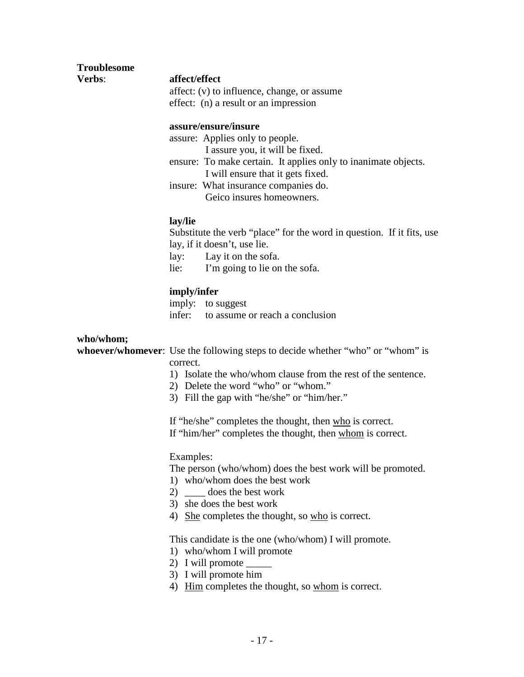| <b>Troublesome</b> |  |
|--------------------|--|
| Verhs <sup>.</sup> |  |

#### **Verbs**: **affect/effect**

affect: (v) to influence, change, or assume effect: (n) a result or an impression

#### **assure/ensure/insure**

assure: Applies only to people.

I assure you, it will be fixed.

- ensure: To make certain. It applies only to inanimate objects. I will ensure that it gets fixed.
- insure: What insurance companies do. Geico insures homeowners.

#### **lay/lie**

Substitute the verb "place" for the word in question. If it fits, use lay, if it doesn't, use lie.

lay: Lay it on the sofa.

lie: I'm going to lie on the sofa.

#### **imply/infer**

imply: to suggest infer: to assume or reach a conclusion

#### **who/whom;**

**whoever/whomever**: Use the following steps to decide whether "who" or "whom" is correct.

- 1) Isolate the who/whom clause from the rest of the sentence.
- 2) Delete the word "who" or "whom."
- 3) Fill the gap with "he/she" or "him/her."

If "he/she" completes the thought, then who is correct. If "him/her" completes the thought, then whom is correct.

#### Examples:

The person (who/whom) does the best work will be promoted.

- 1) who/whom does the best work
- 2) does the best work
- 3) she does the best work
- 4) She completes the thought, so who is correct.

This candidate is the one (who/whom) I will promote.

- 1) who/whom I will promote
- 2) I will promote \_\_\_\_\_\_
- 3) I will promote him
- 4) Him completes the thought, so whom is correct.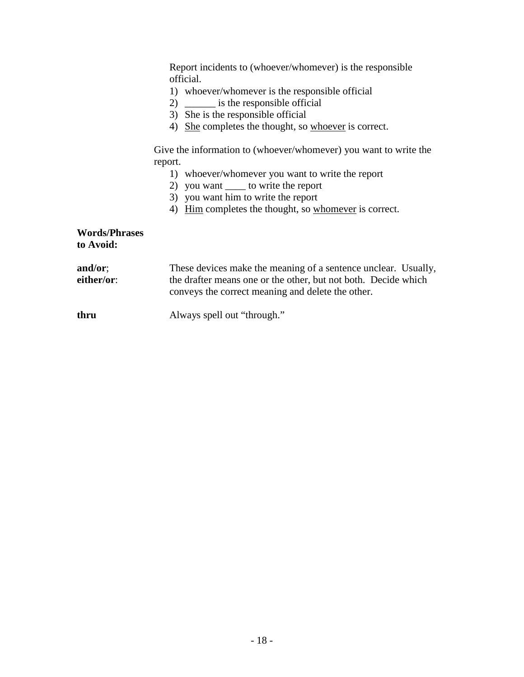Report incidents to (whoever/whomever) is the responsible official.

- 1) whoever/whomever is the responsible official
- 2) \_\_\_\_\_\_ is the responsible official
- $3)$  She is the responsible official
- 4) She completes the thought, so whoever is correct.

Give the information to (whoever/whomever) you want to write the report.

- 1) whoever/whomever you want to write the report
- 2) you want \_\_\_\_ to write the report
- 3) you want him to write the report
- 4) Him completes the thought, so whomever is correct.

#### **Words/Phrases to Avoid:**

| and/or;    | These devices make the meaning of a sentence unclear. Usually, |
|------------|----------------------------------------------------------------|
| either/or: | the drafter means one or the other, but not both. Decide which |
|            | conveys the correct meaning and delete the other.              |
|            |                                                                |

**thru** Always spell out "through."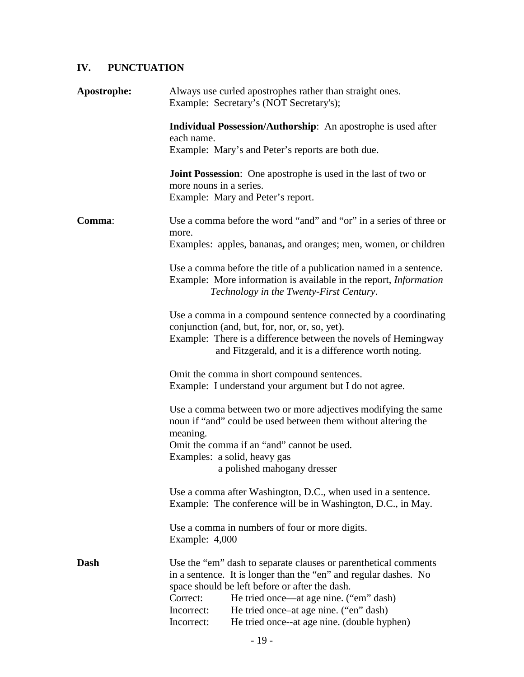# **IV. PUNCTUATION**

| Apostrophe: | Always use curled apostrophes rather than straight ones.<br>Example: Secretary's (NOT Secretary's);                                                                                                                                                                                                                                                              |  |  |
|-------------|------------------------------------------------------------------------------------------------------------------------------------------------------------------------------------------------------------------------------------------------------------------------------------------------------------------------------------------------------------------|--|--|
|             | Individual Possession/Authorship: An apostrophe is used after<br>each name.<br>Example: Mary's and Peter's reports are both due.                                                                                                                                                                                                                                 |  |  |
|             | <b>Joint Possession:</b> One apostrophe is used in the last of two or<br>more nouns in a series.<br>Example: Mary and Peter's report.                                                                                                                                                                                                                            |  |  |
| Comma:      | Use a comma before the word "and" and "or" in a series of three or<br>more.<br>Examples: apples, bananas, and oranges; men, women, or children                                                                                                                                                                                                                   |  |  |
|             | Use a comma before the title of a publication named in a sentence.<br>Example: More information is available in the report, <i>Information</i><br>Technology in the Twenty-First Century.                                                                                                                                                                        |  |  |
|             | Use a comma in a compound sentence connected by a coordinating<br>conjunction (and, but, for, nor, or, so, yet).<br>Example: There is a difference between the novels of Hemingway<br>and Fitzgerald, and it is a difference worth noting.                                                                                                                       |  |  |
|             | Omit the comma in short compound sentences.<br>Example: I understand your argument but I do not agree.                                                                                                                                                                                                                                                           |  |  |
|             | Use a comma between two or more adjectives modifying the same<br>noun if "and" could be used between them without altering the<br>meaning.                                                                                                                                                                                                                       |  |  |
|             | Omit the comma if an "and" cannot be used.<br>Examples: a solid, heavy gas<br>a polished mahogany dresser                                                                                                                                                                                                                                                        |  |  |
|             | Use a comma after Washington, D.C., when used in a sentence.<br>Example: The conference will be in Washington, D.C., in May.                                                                                                                                                                                                                                     |  |  |
|             | Use a comma in numbers of four or more digits.<br>Example: 4,000                                                                                                                                                                                                                                                                                                 |  |  |
| Dash        | Use the "em" dash to separate clauses or parenthetical comments<br>in a sentence. It is longer than the "en" and regular dashes. No<br>space should be left before or after the dash.<br>Correct:<br>He tried once—at age nine. ("em" dash)<br>He tried once–at age nine. ("en" dash)<br>Incorrect:<br>He tried once--at age nine. (double hyphen)<br>Incorrect: |  |  |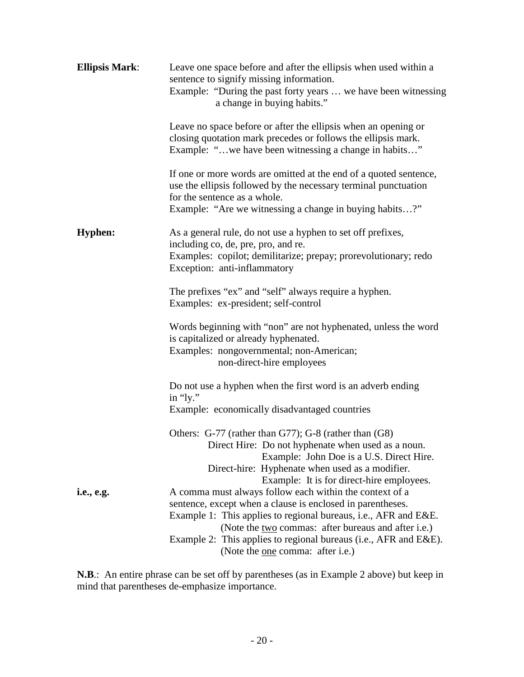| <b>Ellipsis Mark:</b>     | Leave one space before and after the ellipsis when used within a<br>sentence to signify missing information.<br>Example: "During the past forty years  we have been witnessing<br>a change in buying habits."                                                                                                       |
|---------------------------|---------------------------------------------------------------------------------------------------------------------------------------------------------------------------------------------------------------------------------------------------------------------------------------------------------------------|
|                           | Leave no space before or after the ellipsis when an opening or<br>closing quotation mark precedes or follows the ellipsis mark.<br>Example: "we have been witnessing a change in habits"                                                                                                                            |
|                           | If one or more words are omitted at the end of a quoted sentence,<br>use the ellipsis followed by the necessary terminal punctuation<br>for the sentence as a whole.<br>Example: "Are we witnessing a change in buying habits?"                                                                                     |
| <b>Hyphen:</b>            | As a general rule, do not use a hyphen to set off prefixes,<br>including co, de, pre, pro, and re.<br>Examples: copilot; demilitarize; prepay; prorevolutionary; redo<br>Exception: anti-inflammatory                                                                                                               |
|                           | The prefixes "ex" and "self" always require a hyphen.<br>Examples: ex-president; self-control                                                                                                                                                                                                                       |
|                           | Words beginning with "non" are not hyphenated, unless the word<br>is capitalized or already hyphenated.<br>Examples: nongovernmental; non-American;<br>non-direct-hire employees                                                                                                                                    |
|                           | Do not use a hyphen when the first word is an adverb ending<br>in " $ly$ ."                                                                                                                                                                                                                                         |
|                           | Example: economically disadvantaged countries                                                                                                                                                                                                                                                                       |
|                           | Others: G-77 (rather than G77); G-8 (rather than (G8)<br>Direct Hire: Do not hyphenate when used as a noun.<br>Example: John Doe is a U.S. Direct Hire.                                                                                                                                                             |
|                           | Direct-hire: Hyphenate when used as a modifier.<br>Example: It is for direct-hire employees.                                                                                                                                                                                                                        |
| <i>i.e.</i> , <i>e.g.</i> | A comma must always follow each within the context of a<br>sentence, except when a clause is enclosed in parentheses.<br>Example 1: This applies to regional bureaus, i.e., AFR and E&E.<br>(Note the two commas: after bureaus and after i.e.)<br>Example 2: This applies to regional bureaus (i.e., AFR and E&E). |
|                           | (Note the <u>one</u> comma: after i.e.)                                                                                                                                                                                                                                                                             |

**N.B**.: An entire phrase can be set off by parentheses (as in Example 2 above) but keep in mind that parentheses de-emphasize importance.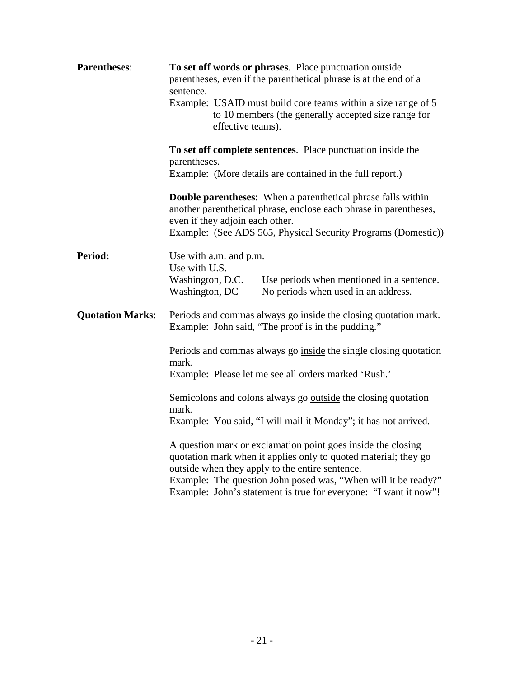| <b>Parentheses:</b>     | To set off words or phrases. Place punctuation outside<br>parentheses, even if the parenthetical phrase is at the end of a<br>sentence.<br>Example: USAID must build core teams within a size range of 5<br>to 10 members (the generally accepted size range for<br>effective teams).<br>To set off complete sentences. Place punctuation inside the<br>parentheses.<br>Example: (More details are contained in the full report.)<br><b>Double parentheses:</b> When a parenthetical phrase falls within<br>another parenthetical phrase, enclose each phrase in parentheses,<br>even if they adjoin each other.<br>Example: (See ADS 565, Physical Security Programs (Domestic)) |                                                                                  |  |
|-------------------------|-----------------------------------------------------------------------------------------------------------------------------------------------------------------------------------------------------------------------------------------------------------------------------------------------------------------------------------------------------------------------------------------------------------------------------------------------------------------------------------------------------------------------------------------------------------------------------------------------------------------------------------------------------------------------------------|----------------------------------------------------------------------------------|--|
|                         |                                                                                                                                                                                                                                                                                                                                                                                                                                                                                                                                                                                                                                                                                   |                                                                                  |  |
|                         |                                                                                                                                                                                                                                                                                                                                                                                                                                                                                                                                                                                                                                                                                   |                                                                                  |  |
| Period:                 | Use with a.m. and p.m.<br>Use with U.S.                                                                                                                                                                                                                                                                                                                                                                                                                                                                                                                                                                                                                                           |                                                                                  |  |
|                         | Washington, D.C.<br>Washington, DC                                                                                                                                                                                                                                                                                                                                                                                                                                                                                                                                                                                                                                                | Use periods when mentioned in a sentence.<br>No periods when used in an address. |  |
| <b>Quotation Marks:</b> | Periods and commas always go inside the closing quotation mark.<br>Example: John said, "The proof is in the pudding."                                                                                                                                                                                                                                                                                                                                                                                                                                                                                                                                                             |                                                                                  |  |
|                         | Periods and commas always go inside the single closing quotation<br>mark.<br>Example: Please let me see all orders marked 'Rush.'                                                                                                                                                                                                                                                                                                                                                                                                                                                                                                                                                 |                                                                                  |  |
|                         | Semicolons and colons always go <u>outside</u> the closing quotation<br>mark.<br>Example: You said, "I will mail it Monday"; it has not arrived.                                                                                                                                                                                                                                                                                                                                                                                                                                                                                                                                  |                                                                                  |  |
|                         | A question mark or exclamation point goes inside the closing<br>quotation mark when it applies only to quoted material; they go<br>outside when they apply to the entire sentence.<br>Example: The question John posed was, "When will it be ready?"<br>Example: John's statement is true for everyone: "I want it now"!                                                                                                                                                                                                                                                                                                                                                          |                                                                                  |  |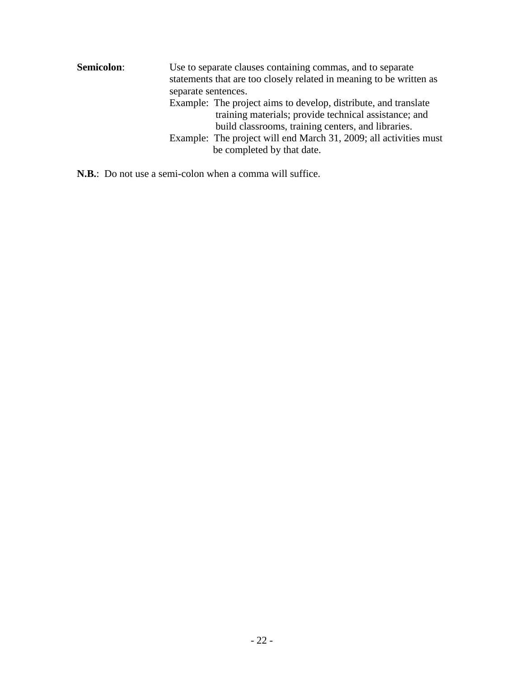| Semicolon: | Use to separate clauses containing commas, and to separate<br>statements that are too closely related in meaning to be written as<br>separate sentences.                       |  |  |
|------------|--------------------------------------------------------------------------------------------------------------------------------------------------------------------------------|--|--|
|            | Example: The project aims to develop, distribute, and translate<br>training materials; provide technical assistance; and<br>build classrooms, training centers, and libraries. |  |  |
|            | Example: The project will end March 31, 2009; all activities must<br>be completed by that date.                                                                                |  |  |

**N.B.**: Do not use a semi-colon when a comma will suffice.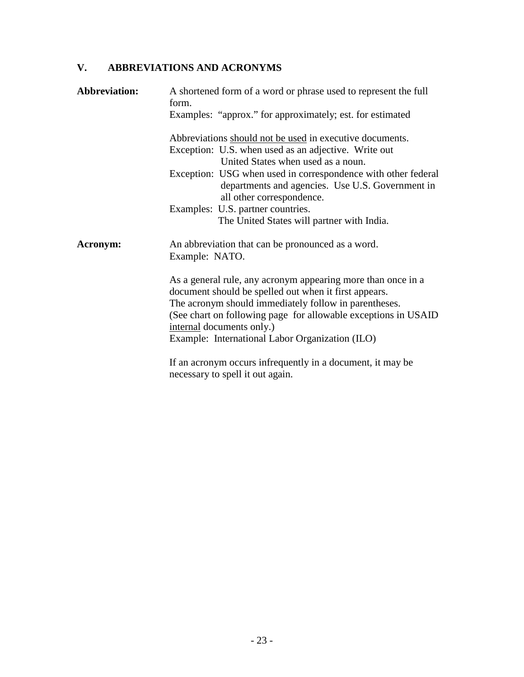# **V. ABBREVIATIONS AND ACRONYMS**

| <b>Abbreviation:</b> | A shortened form of a word or phrase used to represent the full<br>form.<br>Examples: "approx." for approximately; est. for estimated                                                                                                                                                                                             |  |  |
|----------------------|-----------------------------------------------------------------------------------------------------------------------------------------------------------------------------------------------------------------------------------------------------------------------------------------------------------------------------------|--|--|
|                      |                                                                                                                                                                                                                                                                                                                                   |  |  |
|                      | Abbreviations should not be used in executive documents.                                                                                                                                                                                                                                                                          |  |  |
|                      | Exception: U.S. when used as an adjective. Write out<br>United States when used as a noun.                                                                                                                                                                                                                                        |  |  |
|                      | Exception: USG when used in correspondence with other federal<br>departments and agencies. Use U.S. Government in<br>all other correspondence.                                                                                                                                                                                    |  |  |
|                      | Examples: U.S. partner countries.                                                                                                                                                                                                                                                                                                 |  |  |
|                      | The United States will partner with India.                                                                                                                                                                                                                                                                                        |  |  |
| Acronym:             | An abbreviation that can be pronounced as a word.<br>Example: NATO.                                                                                                                                                                                                                                                               |  |  |
|                      | As a general rule, any acronym appearing more than once in a<br>document should be spelled out when it first appears.<br>The acronym should immediately follow in parentheses.<br>(See chart on following page for allowable exceptions in USAID)<br>internal documents only.)<br>Example: International Labor Organization (ILO) |  |  |
|                      | If an acronym occurs infrequently in a document, it may be<br>necessary to spell it out again.                                                                                                                                                                                                                                    |  |  |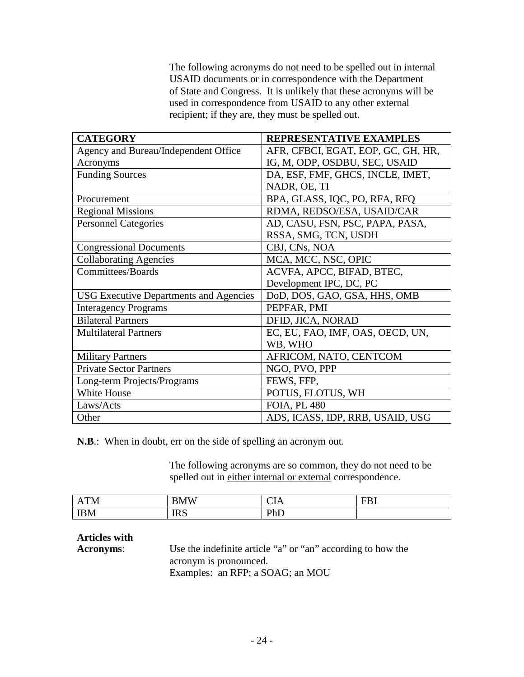The following acronyms do not need to be spelled out in internal USAID documents or in correspondence with the Department of State and Congress. It is unlikely that these acronyms will be used in correspondence from USAID to any other external recipient; if they are, they must be spelled out.

| <b>CATEGORY</b>                               | REPRESENTATIVE EXAMPLES            |
|-----------------------------------------------|------------------------------------|
| Agency and Bureau/Independent Office          | AFR, CFBCI, EGAT, EOP, GC, GH, HR, |
| Acronyms                                      | IG, M, ODP, OSDBU, SEC, USAID      |
| <b>Funding Sources</b>                        | DA, ESF, FMF, GHCS, INCLE, IMET,   |
|                                               | NADR, OE, TI                       |
| Procurement                                   | BPA, GLASS, IQC, PO, RFA, RFQ      |
| <b>Regional Missions</b>                      | RDMA, REDSO/ESA, USAID/CAR         |
| <b>Personnel Categories</b>                   | AD, CASU, FSN, PSC, PAPA, PASA,    |
|                                               | RSSA, SMG, TCN, USDH               |
| <b>Congressional Documents</b>                | CBJ, CNs, NOA                      |
| <b>Collaborating Agencies</b>                 | MCA, MCC, NSC, OPIC                |
| <b>Committees/Boards</b>                      | ACVFA, APCC, BIFAD, BTEC,          |
|                                               | Development IPC, DC, PC            |
| <b>USG</b> Executive Departments and Agencies | DoD, DOS, GAO, GSA, HHS, OMB       |
| <b>Interagency Programs</b>                   | PEPFAR, PMI                        |
| <b>Bilateral Partners</b>                     | DFID, JICA, NORAD                  |
| <b>Multilateral Partners</b>                  | EC, EU, FAO, IMF, OAS, OECD, UN,   |
|                                               | WB, WHO                            |
| <b>Military Partners</b>                      | AFRICOM, NATO, CENTCOM             |
| <b>Private Sector Partners</b>                | NGO, PVO, PPP                      |
| Long-term Projects/Programs                   | FEWS, FFP,                         |
| White House                                   | POTUS, FLOTUS, WH                  |
| Laws/Acts                                     | <b>FOIA, PL 480</b>                |
| Other                                         | ADS, ICASS, IDP, RRB, USAID, USG   |

**N.B**.: When in doubt, err on the side of spelling an acronym out.

The following acronyms are so common, they do not need to be spelled out in either internal or external correspondence.

| T <sub>1</sub><br>∸ | $\boldsymbol{r}$ $\boldsymbol{r}$ $\boldsymbol{r}$<br>3 N /F<br>'N. | $\sim$ $\sim$<br>21 X | -- |
|---------------------|---------------------------------------------------------------------|-----------------------|----|
| <b>IBM</b>          | <b>IRS</b>                                                          | $\mathbf{D}$<br>பப    |    |

**Articles with** 

**Acronyms**: Use the indefinite article "a" or "an" according to how the acronym is pronounced. Examples: an RFP; a SOAG; an MOU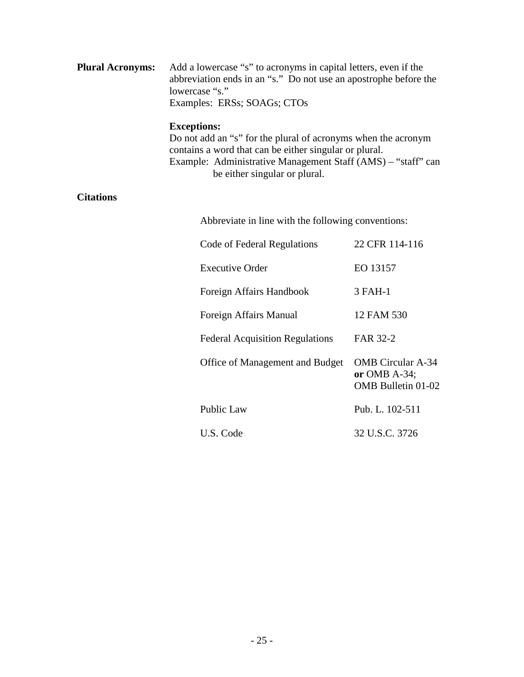| <b>Plural Acronyms:</b> | Add a lowercase "s" to acronyms in capital letters, even if the  |
|-------------------------|------------------------------------------------------------------|
|                         | abbreviation ends in an "s." Do not use an apostrophe before the |
|                         | lowercase "s."                                                   |
|                         | Examples: ERSs; SOAGs; CTOs                                      |

#### **Exceptions:**

Do not add an "s" for the plural of acronyms when the acronym contains a word that can be either singular or plural. Example: Administrative Management Staff (AMS) – "staff" can be either singular or plural.

#### **Citations**

Abbreviate in line with the following conventions:

| Code of Federal Regulations            | 22 CFR 114-116                                                           |
|----------------------------------------|--------------------------------------------------------------------------|
| Executive Order                        | EO 13157                                                                 |
| Foreign Affairs Handbook               | 3 FAH-1                                                                  |
| Foreign Affairs Manual                 | 12 FAM 530                                                               |
| <b>Federal Acquisition Regulations</b> | FAR 32-2                                                                 |
| Office of Management and Budget        | <b>OMB</b> Circular A-34<br>or OMB $A-34$ ;<br><b>OMB</b> Bulletin 01-02 |
| <b>Public Law</b>                      | Pub. L. 102-511                                                          |
| U.S. Code                              | 32 U.S.C. 3726                                                           |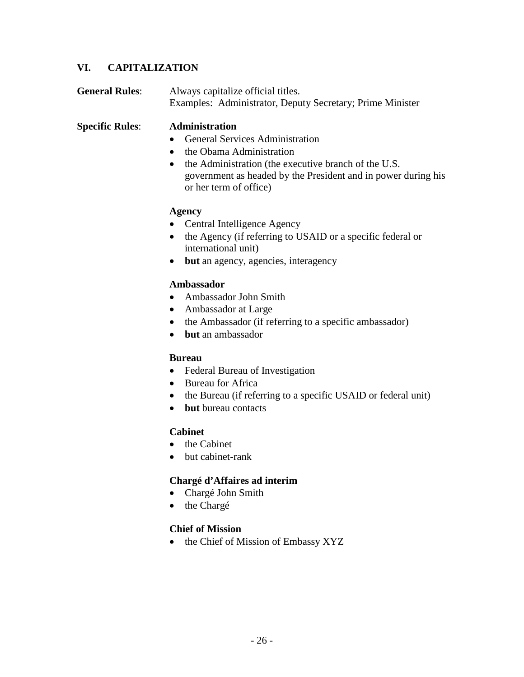### **VI. CAPITALIZATION**

| <b>General Rules:</b> | Always capitalize official titles.                        |
|-----------------------|-----------------------------------------------------------|
|                       | Examples: Administrator, Deputy Secretary; Prime Minister |

**Specific Rules**: **Administration**

- General Services Administration
- the Obama Administration
- the Administration (the executive branch of the U.S. government as headed by the President and in power during his or her term of office)

#### **Agency**

- Central Intelligence Agency
- the Agency (if referring to USAID or a specific federal or international unit)
- **but** an agency, agencies, interagency

#### **Ambassador**

- Ambassador John Smith
- Ambassador at Large
- the Ambassador (if referring to a specific ambassador)
- **but** an ambassador

#### **Bureau**

- Federal Bureau of Investigation
- Bureau for Africa
- the Bureau (if referring to a specific USAID or federal unit)
- **but** bureau contacts

#### **Cabinet**

- the Cabinet
- but cabinet-rank

#### **Chargé d'Affaires ad interim**

- Chargé John Smith
- the Chargé

#### **Chief of Mission**

• the Chief of Mission of Embassy XYZ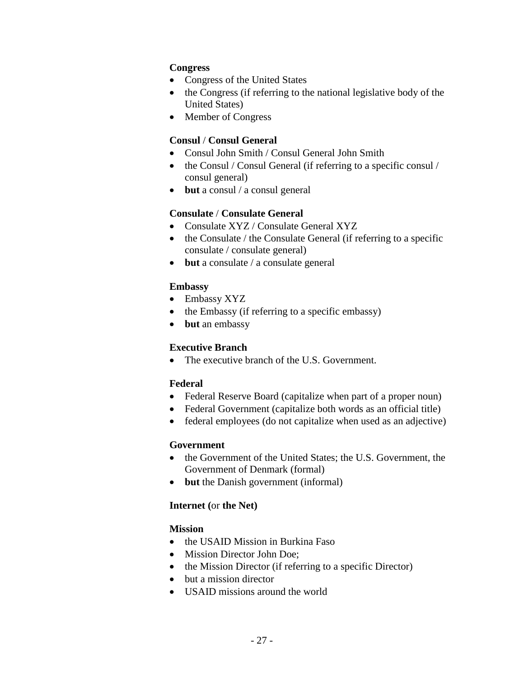#### **Congress**

- Congress of the United States
- the Congress (if referring to the national legislative body of the United States)
- Member of Congress

#### **Consul** / **Consul General**

- Consul John Smith / Consul General John Smith
- the Consul / Consul General (if referring to a specific consul / consul general)
- **but** a consul / a consul general

#### **Consulate** / **Consulate General**

- Consulate XYZ / Consulate General XYZ
- the Consulate / the Consulate General (if referring to a specific consulate / consulate general)
- **but** a consulate / a consulate general

#### **Embassy**

- Embassy XYZ
- the Embassy (if referring to a specific embassy)
- **but** an embassy

#### **Executive Branch**

• The executive branch of the U.S. Government.

#### **Federal**

- Federal Reserve Board (capitalize when part of a proper noun)
- Federal Government (capitalize both words as an official title)
- federal employees (do not capitalize when used as an adjective)

#### **Government**

- the Government of the United States; the U.S. Government, the Government of Denmark (formal)
- **but** the Danish government (informal)

#### **Internet (**or **the Net)**

#### **Mission**

- the USAID Mission in Burkina Faso
- Mission Director John Doe;
- the Mission Director (if referring to a specific Director)
- but a mission director
- USAID missions around the world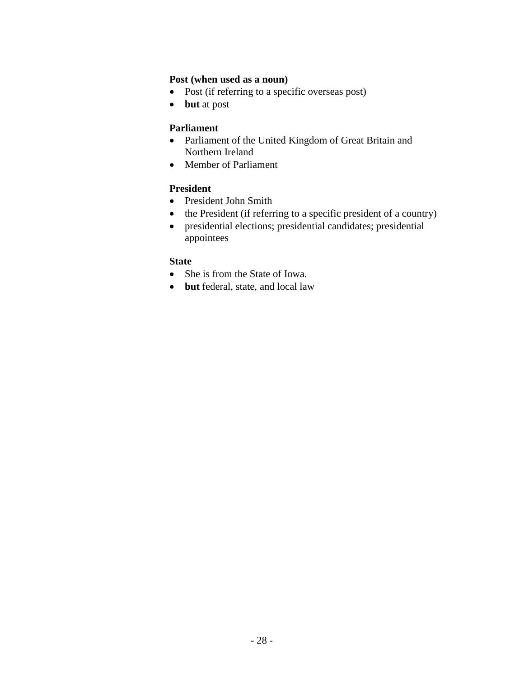#### **Post (when used as a noun)**

- Post (if referring to a specific overseas post)
- **but** at post

#### **Parliament**

- Parliament of the United Kingdom of Great Britain and Northern Ireland
- Member of Parliament

#### **President**

- President John Smith
- the President (if referring to a specific president of a country)
- presidential elections; presidential candidates; presidential appointees

#### **State**

- She is from the State of Iowa.
- **but** federal, state, and local law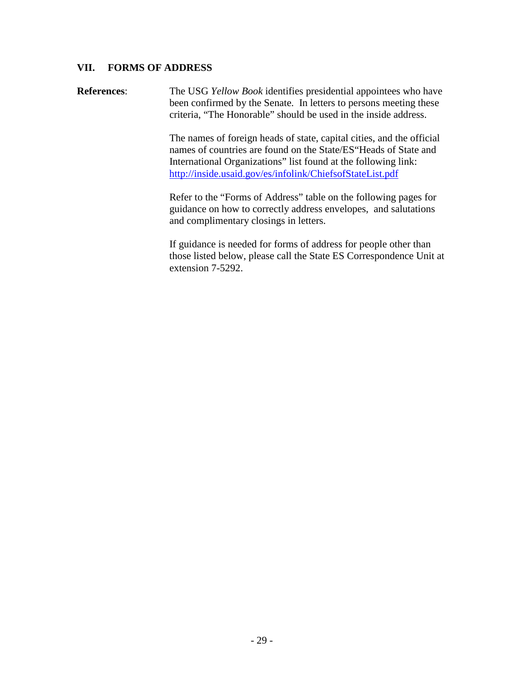#### **VII. FORMS OF ADDRESS**

**References**: The USG *Yellow Book* identifies presidential appointees who have been confirmed by the Senate. In letters to persons meeting these criteria, "The Honorable" should be used in the inside address.

> The names of foreign heads of state, capital cities, and the official names of countries are found on the State/ES"Heads of State and International Organizations" list found at the following link: http://inside.usaid.gov/es/infolink/ChiefsofStateList.pdf

Refer to the "Forms of Address" table on the following pages for guidance on how to correctly address envelopes, and salutations and complimentary closings in letters.

If guidance is needed for forms of address for people other than those listed below, please call the State ES Correspondence Unit at extension 7-5292.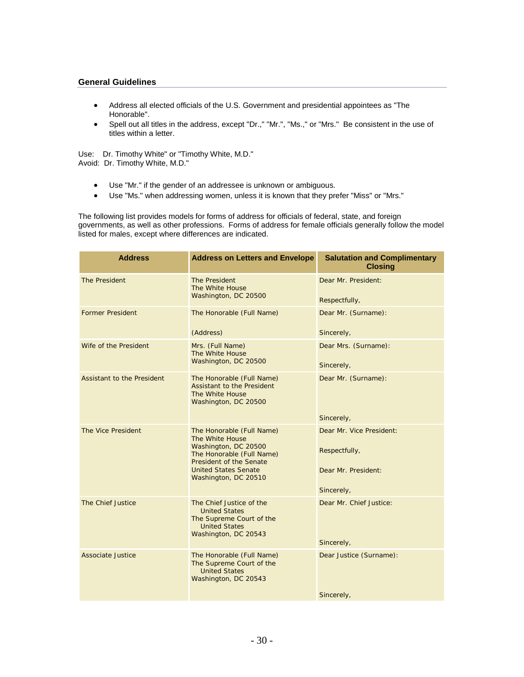#### **General Guidelines**

- Address all elected officials of the U.S. Government and presidential appointees as "The Honorable".
- Spell out all titles in the address, except "Dr.," "Mr.", "Ms.," or "Mrs." Be consistent in the use of titles within a letter.

Use: Dr. Timothy White" or "Timothy White, M.D." Avoid: Dr. Timothy White, M.D."

- Use "Mr." if the gender of an addressee is unknown or ambiguous.
- Use "Ms." when addressing women, unless it is known that they prefer "Miss" or "Mrs."

The following list provides models for forms of address for officials of federal, state, and foreign governments, as well as other professions. Forms of address for female officials generally follow the model listed for males, except where differences are indicated.

| <b>Address</b>                    | <b>Address on Letters and Envelope</b>                                                                                                                                              | <b>Salutation and Complimentary</b><br><b>Closing</b>                          |
|-----------------------------------|-------------------------------------------------------------------------------------------------------------------------------------------------------------------------------------|--------------------------------------------------------------------------------|
| The President                     | The President<br>The White House<br>Washington, DC 20500                                                                                                                            | Dear Mr. President:<br>Respectfully,                                           |
| <b>Former President</b>           | The Honorable (Full Name)<br>(Address)                                                                                                                                              | Dear Mr. (Surname):<br>Sincerely,                                              |
| Wife of the President             | Mrs. (Full Name)<br>The White House<br>Washington, DC 20500                                                                                                                         | Dear Mrs. (Surname):<br>Sincerely,                                             |
| <b>Assistant to the President</b> | The Honorable (Full Name)<br>Assistant to the President<br>The White House<br>Washington, DC 20500                                                                                  | Dear Mr. (Surname):                                                            |
|                                   |                                                                                                                                                                                     | Sincerely,                                                                     |
| The Vice President                | The Honorable (Full Name)<br>The White House<br>Washington, DC 20500<br>The Honorable (Full Name)<br>President of the Senate<br><b>United States Senate</b><br>Washington, DC 20510 | Dear Mr. Vice President:<br>Respectfully,<br>Dear Mr. President:<br>Sincerely, |
| The Chief Justice                 | The Chief Justice of the<br><b>United States</b><br>The Supreme Court of the<br><b>United States</b><br>Washington, DC 20543                                                        | Dear Mr. Chief Justice:<br>Sincerely,                                          |
| Associate Justice                 | The Honorable (Full Name)<br>The Supreme Court of the<br><b>United States</b><br>Washington, DC 20543                                                                               | Dear Justice (Surname):<br>Sincerely,                                          |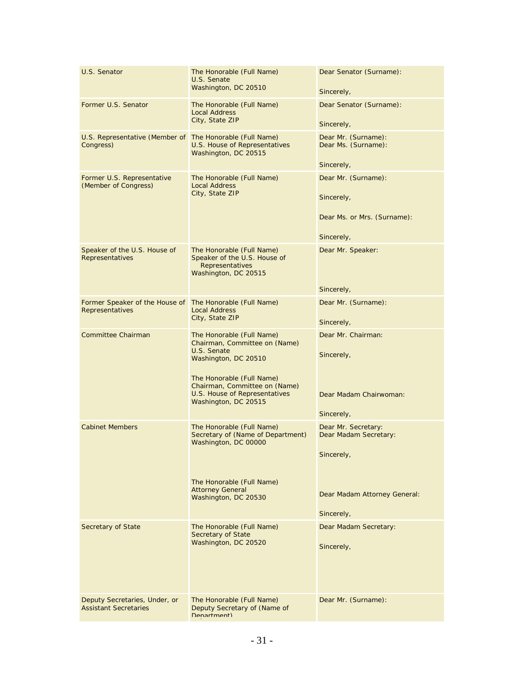| U.S. Senator                                                          | The Honorable (Full Name)<br>U.S. Senate<br>Washington, DC 20510                                                                                                                                 | Dear Senator (Surname):<br>Sincerely,                                          |
|-----------------------------------------------------------------------|--------------------------------------------------------------------------------------------------------------------------------------------------------------------------------------------------|--------------------------------------------------------------------------------|
| Former U.S. Senator                                                   | The Honorable (Full Name)<br><b>Local Address</b><br>City, State ZIP                                                                                                                             | Dear Senator (Surname):<br>Sincerely,                                          |
| U.S. Representative (Member of The Honorable (Full Name)<br>Congress) | U.S. House of Representatives<br>Washington, DC 20515                                                                                                                                            | Dear Mr. (Surname):<br>Dear Ms. (Surname):<br>Sincerely,                       |
| Former U.S. Representative<br>(Member of Congress)                    | The Honorable (Full Name)<br><b>Local Address</b><br>City, State ZIP                                                                                                                             | Dear Mr. (Surname):<br>Sincerely,<br>Dear Ms. or Mrs. (Surname):<br>Sincerely, |
| Speaker of the U.S. House of<br>Representatives                       | The Honorable (Full Name)<br>Speaker of the U.S. House of<br><b>Representatives</b><br>Washington, DC 20515                                                                                      | Dear Mr. Speaker:<br>Sincerely,                                                |
| Former Speaker of the House of The Honorable (Full Name)              |                                                                                                                                                                                                  | Dear Mr. (Surname):                                                            |
| Representatives                                                       | <b>Local Address</b><br>City, State ZIP                                                                                                                                                          | Sincerely,                                                                     |
| Committee Chairman                                                    | The Honorable (Full Name)<br>Chairman, Committee on (Name)<br>U.S. Senate<br>Washington, DC 20510<br>The Honorable (Full Name)<br>Chairman, Committee on (Name)<br>U.S. House of Representatives | Dear Mr. Chairman:<br>Sincerely,<br>Dear Madam Chairwoman:                     |
|                                                                       | Washington, DC 20515                                                                                                                                                                             | Sincerely,                                                                     |
| <b>Cabinet Members</b>                                                | The Honorable (Full Name)<br>Secretary of (Name of Department)<br>Washington, DC 00000                                                                                                           | Dear Mr. Secretary:<br>Dear Madam Secretary:<br>Sincerely,                     |
|                                                                       | The Honorable (Full Name)<br><b>Attorney General</b><br>Washington, DC 20530                                                                                                                     | Dear Madam Attorney General:<br>Sincerely,                                     |
| Secretary of State                                                    | The Honorable (Full Name)<br><b>Secretary of State</b><br>Washington, DC 20520                                                                                                                   | Dear Madam Secretary:<br>Sincerely,                                            |
| Deputy Secretaries, Under, or<br><b>Assistant Secretaries</b>         | The Honorable (Full Name)<br>Deputy Secretary of (Name of<br>Denartment)                                                                                                                         | Dear Mr. (Surname):                                                            |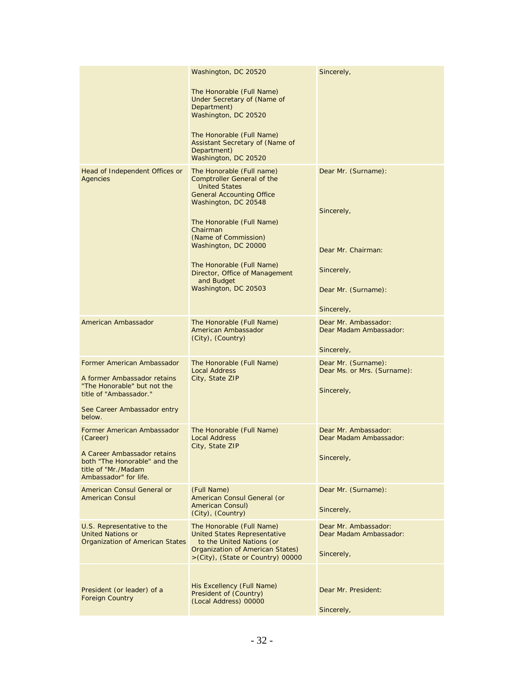|                                                                                                                                                                    | Washington, DC 20520<br>The Honorable (Full Name)<br>Under Secretary of (Name of<br>Department)<br>Washington, DC 20520<br>The Honorable (Full Name)<br>Assistant Secretary of (Name of<br>Department)<br>Washington, DC 20520                                                                                                                   | Sincerely,                                                                                                 |
|--------------------------------------------------------------------------------------------------------------------------------------------------------------------|--------------------------------------------------------------------------------------------------------------------------------------------------------------------------------------------------------------------------------------------------------------------------------------------------------------------------------------------------|------------------------------------------------------------------------------------------------------------|
| Head of Independent Offices or<br>Agencies                                                                                                                         | The Honorable (Full name)<br><b>Comptroller General of the</b><br><b>United States</b><br><b>General Accounting Office</b><br>Washington, DC 20548<br>The Honorable (Full Name)<br>Chairman<br>(Name of Commission)<br>Washington, DC 20000<br>The Honorable (Full Name)<br>Director, Office of Management<br>and Budget<br>Washington, DC 20503 | Dear Mr. (Surname):<br>Sincerely,<br>Dear Mr. Chairman:<br>Sincerely,<br>Dear Mr. (Surname):<br>Sincerely, |
| American Ambassador                                                                                                                                                | The Honorable (Full Name)<br>American Ambassador<br>(City), (Country)                                                                                                                                                                                                                                                                            | Dear Mr. Ambassador:<br>Dear Madam Ambassador:<br>Sincerely,                                               |
| <b>Former American Ambassador</b><br>A former Ambassador retains<br>"The Honorable" but not the<br>title of "Ambassador."<br>See Career Ambassador entry<br>below. | The Honorable (Full Name)<br><b>Local Address</b><br>City, State ZIP                                                                                                                                                                                                                                                                             | Dear Mr. (Surname):<br>Dear Ms. or Mrs. (Surname):<br>Sincerely,                                           |
| Former American Ambassador<br>(Career)<br>A Career Ambassador retains<br>both "The Honorable" and the<br>title of "Mr./Madam<br>Ambassador" for life.              | The Honorable (Full Name)<br><b>Local Address</b><br>City, State ZIP                                                                                                                                                                                                                                                                             | Dear Mr. Ambassador:<br>Dear Madam Ambassador:<br>Sincerely,                                               |
| American Consul General or<br><b>American Consul</b>                                                                                                               | (Full Name)<br>American Consul General (or<br><b>American Consul)</b><br>(City), (Country)                                                                                                                                                                                                                                                       | Dear Mr. (Surname):<br>Sincerely,                                                                          |
| U.S. Representative to the<br><b>United Nations or</b><br><b>Organization of American States</b>                                                                   | The Honorable (Full Name)<br><b>United States Representative</b><br>to the United Nations (or<br>Organization of American States)<br>>(City), (State or Country) 00000                                                                                                                                                                           | Dear Mr. Ambassador:<br>Dear Madam Ambassador:<br>Sincerely,                                               |
| President (or leader) of a<br><b>Foreign Country</b>                                                                                                               | His Excellency (Full Name)<br>President of (Country)<br>(Local Address) 00000                                                                                                                                                                                                                                                                    | Dear Mr. President:<br>Sincerely,                                                                          |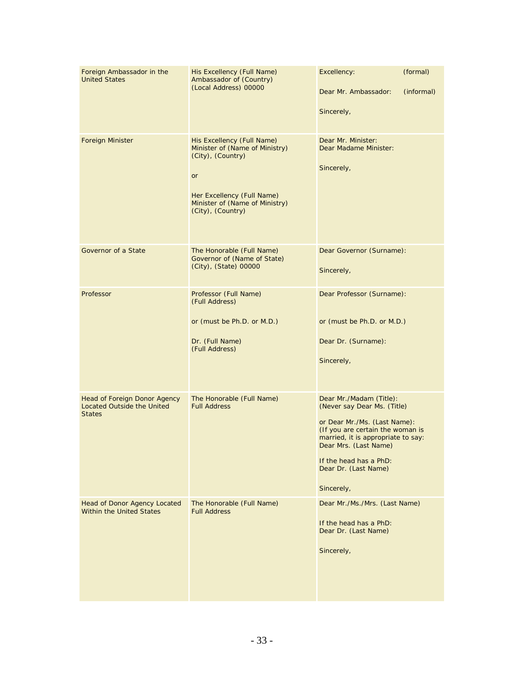| Foreign Ambassador in the<br><b>United States</b>                                         | His Excellency (Full Name)<br>Ambassador of (Country)<br>(Local Address) 00000                                                                                               | Excellency:<br>Dear Mr. Ambassador:<br>Sincerely,                                                                                                                                                                                                         | (formal)<br>(informal) |
|-------------------------------------------------------------------------------------------|------------------------------------------------------------------------------------------------------------------------------------------------------------------------------|-----------------------------------------------------------------------------------------------------------------------------------------------------------------------------------------------------------------------------------------------------------|------------------------|
| Foreign Minister                                                                          | His Excellency (Full Name)<br>Minister of (Name of Ministry)<br>(City), (Country)<br>or<br>Her Excellency (Full Name)<br>Minister of (Name of Ministry)<br>(City), (Country) | Dear Mr. Minister:<br>Dear Madame Minister:<br>Sincerely,                                                                                                                                                                                                 |                        |
| Governor of a State                                                                       | The Honorable (Full Name)<br>Governor of (Name of State)<br>(City), (State) 00000                                                                                            | Dear Governor (Surname):<br>Sincerely,                                                                                                                                                                                                                    |                        |
| Professor                                                                                 | Professor (Full Name)<br>(Full Address)<br>or (must be Ph.D. or M.D.)<br>Dr. (Full Name)<br>(Full Address)                                                                   | Dear Professor (Surname):<br>or (must be Ph.D. or M.D.)<br>Dear Dr. (Surname):<br>Sincerely,                                                                                                                                                              |                        |
| <b>Head of Foreign Donor Agency</b><br><b>Located Outside the United</b><br><b>States</b> | The Honorable (Full Name)<br><b>Full Address</b>                                                                                                                             | Dear Mr./Madam (Title):<br>(Never say Dear Ms. (Title)<br>or Dear Mr./Ms. (Last Name):<br>(If you are certain the woman is<br>married, it is appropriate to say:<br>Dear Mrs. (Last Name)<br>If the head has a PhD:<br>Dear Dr. (Last Name)<br>Sincerely, |                        |
| Head of Donor Agency Located<br><b>Within the United States</b>                           | The Honorable (Full Name)<br><b>Full Address</b>                                                                                                                             | Dear Mr./Ms./Mrs. (Last Name)<br>If the head has a PhD:<br>Dear Dr. (Last Name)<br>Sincerely,                                                                                                                                                             |                        |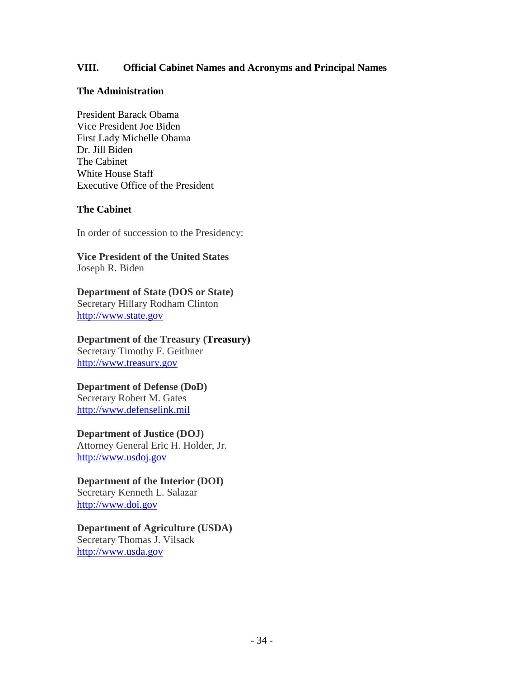#### **VIII. Official Cabinet Names and Acronyms and Principal Names**

#### **The Administration**

President Barack Obama Vice President Joe Biden First Lady Michelle Obama Dr. Jill Biden The Cabinet White House Staff Executive Office of the President

#### **The Cabinet**

In order of succession to the Presidency:

**Vice President of the United States** Joseph R. Biden

**Department of State (DOS or State)** Secretary Hillary Rodham Clinton http://www.state.gov

**Department of the Treasury (Treasury)** Secretary Timothy F. Geithner http://www.treasury.gov

# **Department of Defense (DoD)**

Secretary Robert M. Gates http://www.defenselink.mil

#### **Department of Justice (DOJ)**

Attorney General Eric H. Holder, Jr. http://www.usdoj.gov

**Department of the Interior (DOI)** Secretary Kenneth L. Salazar http://www.doi.gov

# **Department of Agriculture (USDA)**

Secretary Thomas J. Vilsack http://www.usda.gov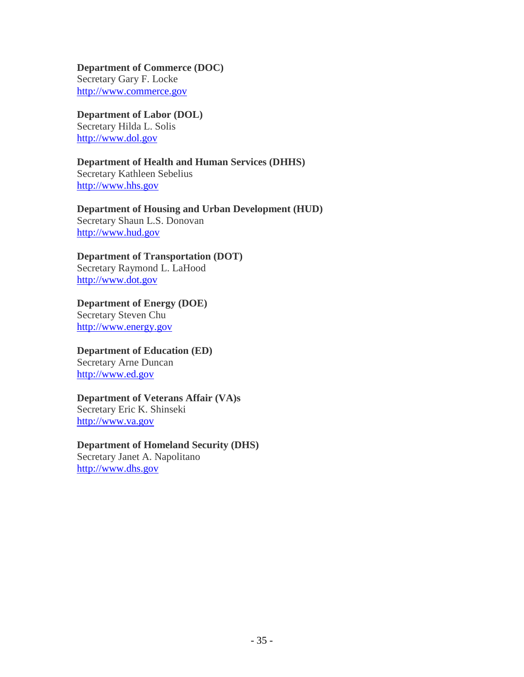**Department of Commerce (DOC)** Secretary Gary F. Locke http://www.commerce.gov

#### **Department of Labor (DOL)**

Secretary Hilda L. Solis http://www.dol.gov

#### **Department of Health and Human Services (DHHS)** Secretary Kathleen Sebelius http://www.hhs.gov

**Department of Housing and Urban Development (HUD)** Secretary Shaun L.S. Donovan http://www.hud.gov

### **Department of Transportation (DOT)**

Secretary Raymond L. LaHood http://www.dot.gov

**Department of Energy (DOE)** Secretary Steven Chu http://www.energy.gov

#### **Department of Education (ED)** Secretary Arne Duncan http://www.ed.gov

# **Department of Veterans Affair (VA)s**

Secretary Eric K. Shinseki http://www.va.gov

# **Department of Homeland Security (DHS)** Secretary Janet A. Napolitano

http://www.dhs.gov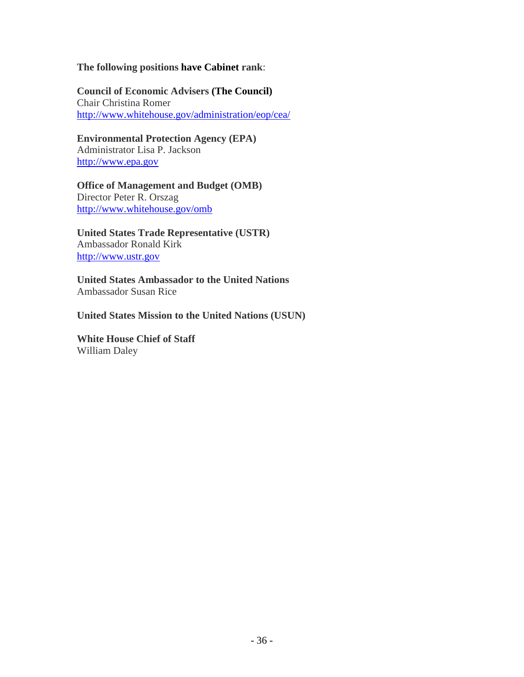#### **The following positions have Cabinet rank**:

**Council of Economic Advisers (The Council)** Chair Christina Romer http://www.whitehouse.gov/administration/eop/cea/

**Environmental Protection Agency (EPA)** Administrator Lisa P. Jackson http://www.epa.gov

**Office of Management and Budget (OMB)** Director Peter R. Orszag http://www.whitehouse.gov/omb

**United States Trade Representative (USTR)** Ambassador Ronald Kirk http://www.ustr.gov

**United States Ambassador to the United Nations** Ambassador Susan Rice

**United States Mission to the United Nations (USUN)**

**White House Chief of Staff** William Daley